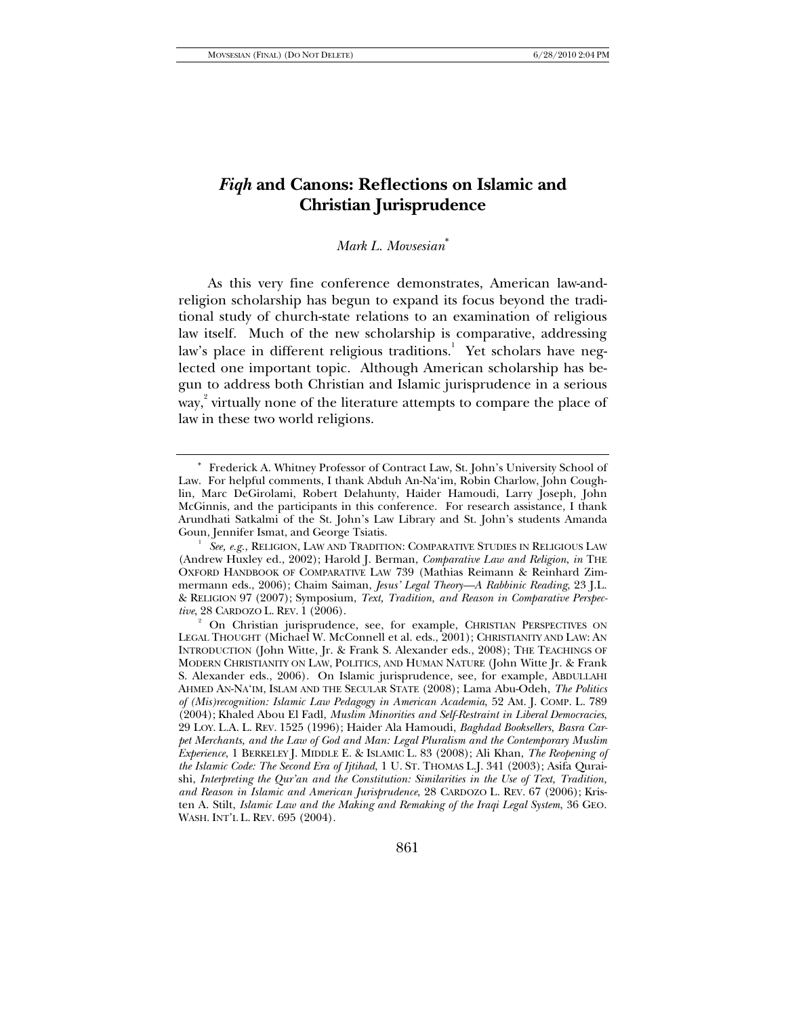# *Fiqh* **and Canons: Reflections on Islamic and Christian Jurisprudence**

### *Mark L. Movsesian*<sup>∗</sup>

As this very fine conference demonstrates, American law-andreligion scholarship has begun to expand its focus beyond the traditional study of church-state relations to an examination of religious law itself. Much of the new scholarship is comparative, addressing law's place in different religious traditions. $^1\,$  Yet scholars have neglected one important topic. Although American scholarship has begun to address both Christian and Islamic jurisprudence in a serious way, $^{2}$  virtually none of the literature attempts to compare the place of law in these two world religions.

Frederick A. Whitney Professor of Contract Law, St. John's University School of Law. For helpful comments, I thank Abduh An-Na'im, Robin Charlow, John Coughlin, Marc DeGirolami, Robert Delahunty, Haider Hamoudi, Larry Joseph, John McGinnis, and the participants in this conference. For research assistance, I thank Arundhati Satkalmi of the St. John's Law Library and St. John's students Amanda Goun, Jennifer Ismat, and George Tsiatis. 1

*See, e.g.*, RELIGION, LAW AND TRADITION: COMPARATIVE STUDIES IN RELIGIOUS LAW (Andrew Huxley ed., 2002); Harold J. Berman, *Comparative Law and Religion*, *in* THE OXFORD HANDBOOK OF COMPARATIVE LAW 739 (Mathias Reimann & Reinhard Zimmermann eds., 2006); Chaim Saiman, *Jesus' Legal Theory—A Rabbinic Reading*, 23 J.L. & RELIGION 97 (2007); Symposium, *Text, Tradition, and Reason in Comparative Perspective*, 28 CARDOZO L. REV. <sup>1</sup> (2006). 2

On Christian jurisprudence, see, for example, CHRISTIAN PERSPECTIVES ON LEGAL THOUGHT (Michael W. McConnell et al. eds., 2001); CHRISTIANITY AND LAW: AN INTRODUCTION (John Witte, Jr. & Frank S. Alexander eds., 2008); THE TEACHINGS OF MODERN CHRISTIANITY ON LAW, POLITICS, AND HUMAN NATURE (John Witte Jr. & Frank S. Alexander eds., 2006). On Islamic jurisprudence, see, for example, ABDULLAHI AHMED AN-NA'IM, ISLAM AND THE SECULAR STATE (2008); Lama Abu-Odeh, *The Politics of (Mis)recognition: Islamic Law Pedagogy in American Academia*, 52 AM. J. COMP. L. 789 (2004); Khaled Abou El Fadl, *Muslim Minorities and Self-Restraint in Liberal Democracies*, 29 LOY. L.A. L. REV. 1525 (1996); Haider Ala Hamoudi, *Baghdad Booksellers, Basra Carpet Merchants, and the Law of God and Man: Legal Pluralism and the Contemporary Muslim Experience*, 1 BERKELEY J. MIDDLE E. & ISLAMIC L. 83 (2008); Ali Khan, *The Reopening of the Islamic Code: The Second Era of Ijtihad*, 1 U. ST. THOMAS L.J. 341 (2003); Asifa Quraishi, *Interpreting the Qur'an and the Constitution: Similarities in the Use of Text, Tradition, and Reason in Islamic and American Jurisprudence*, 28 CARDOZO L. REV. 67 (2006); Kristen A. Stilt, *Islamic Law and the Making and Remaking of the Iraqi Legal System*, 36 GEO. WASH. INT'L L. REV. 695 (2004).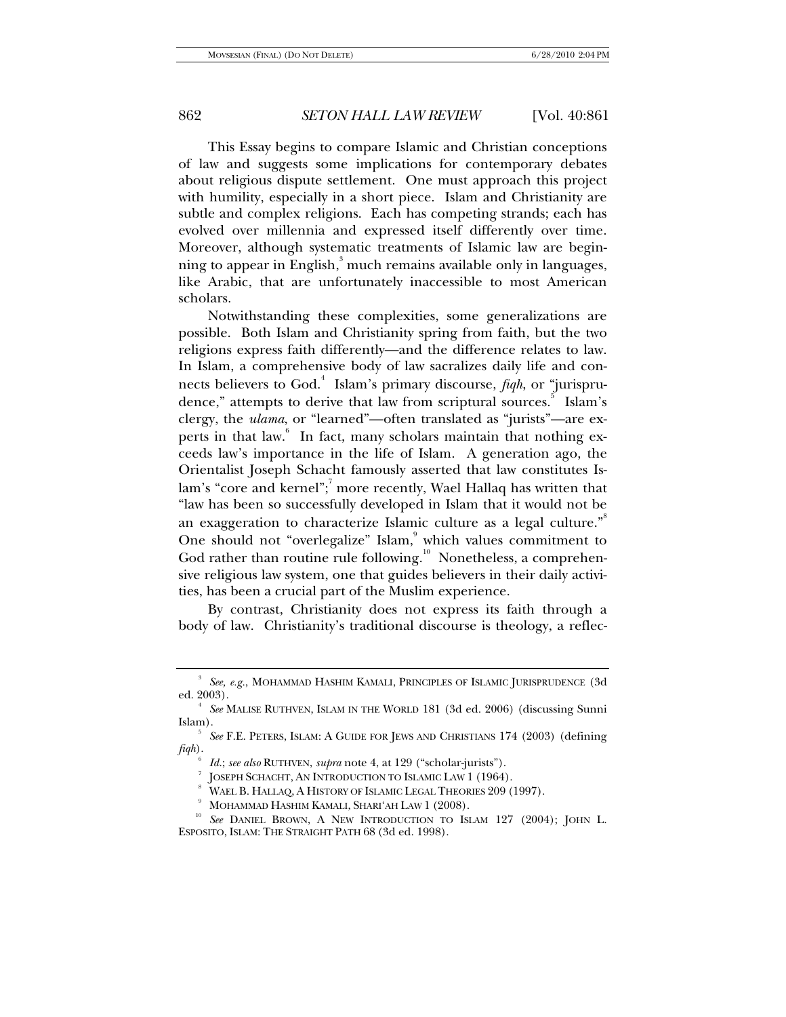This Essay begins to compare Islamic and Christian conceptions of law and suggests some implications for contemporary debates about religious dispute settlement. One must approach this project with humility, especially in a short piece. Islam and Christianity are subtle and complex religions. Each has competing strands; each has evolved over millennia and expressed itself differently over time. Moreover, although systematic treatments of Islamic law are beginning to appear in English, $^{\mathrm{3}}$  much remains available only in languages, like Arabic, that are unfortunately inaccessible to most American scholars.

Notwithstanding these complexities, some generalizations are possible. Both Islam and Christianity spring from faith, but the two religions express faith differently—and the difference relates to law. In Islam, a comprehensive body of law sacralizes daily life and connects believers to God.<sup>4</sup> Islam's primary discourse, *fiqh*, or "jurisprudence," attempts to derive that law from scriptural sources.<sup>5</sup> Islam's clergy, the *ulama*, or "learned"—often translated as "jurists"—are experts in that law.<sup>6</sup> In fact, many scholars maintain that nothing exceeds law's importance in the life of Islam. A generation ago, the Orientalist Joseph Schacht famously asserted that law constitutes Islam's "core and kernel";<sup>7</sup> more recently, Wael Hallaq has written that "law has been so successfully developed in Islam that it would not be an exaggeration to characterize Islamic culture as a legal culture."<sup>8</sup> One should not "overlegalize" Islam, which values commitment to God rather than routine rule following.<sup>10</sup> Nonetheless, a comprehensive religious law system, one that guides believers in their daily activities, has been a crucial part of the Muslim experience.

By contrast, Christianity does not express its faith through a body of law. Christianity's traditional discourse is theology, a reflec-

<sup>3</sup>  *See, e.g.*, MOHAMMAD HASHIM KAMALI, PRINCIPLES OF ISLAMIC JURISPRUDENCE (3d ed. 2003). 4

*See* MALISE RUTHVEN, ISLAM IN THE WORLD 181 (3d ed. 2006) (discussing Sunni  $Islam$ ).

<sup>&</sup>lt;sup>5</sup> See F.E. PETERS, ISLAM: A GUIDE FOR JEWS AND CHRISTIANS 174 (2003) (defining *fiqh*).

<sup>6</sup> *Id.*; *see also* RUTHVEN, *supra* note 4, at 129 ("scholar-jurists").

JOSEPH SCHACHT, AN INTRODUCTION TO ISLAMIC LAW 1 (1964).

WAEL B. HALLAQ, A HISTORY OF ISLAMIC LEGAL THEORIES 209 (1997). MOHAMMAD HASHIM KAMALI, SHARI'AH LAW 1 (2008).

<sup>&</sup>lt;sup>10</sup> See DANIEL BROWN, A NEW INTRODUCTION TO ISLAM 127 (2004); JOHN L. ESPOSITO, ISLAM: THE STRAIGHT PATH 68 (3d ed. 1998).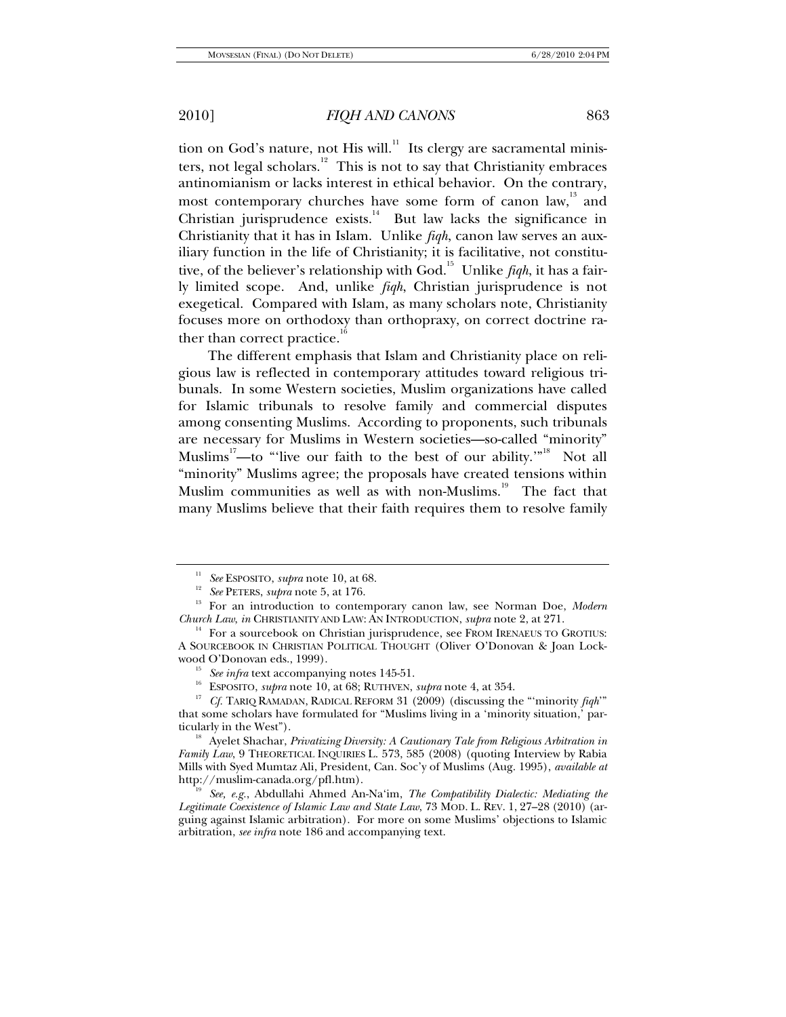tion on God's nature, not His will.<sup>11</sup> Its clergy are sacramental ministers, not legal scholars.<sup>12</sup> This is not to say that Christianity embraces antinomianism or lacks interest in ethical behavior. On the contrary, most contemporary churches have some form of canon law,<sup>13</sup> and Christian jurisprudence exists. $14$  But law lacks the significance in Christianity that it has in Islam. Unlike *fiqh*, canon law serves an auxiliary function in the life of Christianity; it is facilitative, not constitutive, of the believer's relationship with  $God<sup>15</sup>$  Unlike *figh*, it has a fairly limited scope. And, unlike *fiqh*, Christian jurisprudence is not exegetical. Compared with Islam, as many scholars note, Christianity focuses more on orthodoxy than orthopraxy, on correct doctrine rather than correct practice.<sup>16</sup>

The different emphasis that Islam and Christianity place on religious law is reflected in contemporary attitudes toward religious tribunals. In some Western societies, Muslim organizations have called for Islamic tribunals to resolve family and commercial disputes among consenting Muslims. According to proponents, such tribunals are necessary for Muslims in Western societies—so-called "minority" Muslims<sup>17</sup>—to "'live our faith to the best of our ability.'"<sup>18</sup> Not all "minority" Muslims agree; the proposals have created tensions within Muslim communities as well as with non-Muslims.<sup>19</sup> The fact that many Muslims believe that their faith requires them to resolve family

<sup>&</sup>lt;sup>11</sup> See ESPOSITO, *supra* note 10, at 68.<br><sup>12</sup> See PETERS, *supra* note 5, at 176.<br><sup>13</sup> For an introduction to contemporary canon law, see Norman Doe, *Modern Church Law*, *in* CHRISTIANITY AND LAW: AN INTRODUCTION, *supr* 

<sup>&</sup>lt;sup>14</sup> For a sourcebook on Christian jurisprudence, see FROM IRENAEUS TO GROTIUS: A SOURCEBOOK IN CHRISTIAN POLITICAL THOUGHT (Oliver O'Donovan & Joan Lock-<br>wood O'Donovan eds., 1999).

<sup>&</sup>lt;sup>15</sup> See infra text accompanying notes 145-51.<br><sup>16</sup> ESPOSITO, *supra* note 10, at 68; RUTHVEN, *supra* note 4, at 354.<br><sup>17</sup> *Cf*. TARIQ RAMADAN, RADICAL REFORM 31 (2009) (discussing the "'minority fiqh'" that some scholars have formulated for "Muslims living in a 'minority situation,' particularly in the West").<br><sup>18</sup> Ayelet Shachar, *Privatizing Diversity: A Cautionary Tale from Religious Arbitration in* 

*Family Law*, 9 THEORETICAL INQUIRIES L. 573, 585 (2008) (quoting Interview by Rabia Mills with Syed Mumtaz Ali, President, Can. Soc'y of Muslims (Aug. 1995), *available at* 

<sup>&</sup>lt;sup>19</sup> See, *e.g.*, Abdullahi Ahmed An-Na'im, *The Compatibility Dialectic: Mediating the Legitimate Coexistence of Islamic Law and State Law*, 73 MOD. L. REV. 1, 27–28 (2010) (arguing against Islamic arbitration). For more on some Muslims' objections to Islamic arbitration, *see infra* note 186 and accompanying text.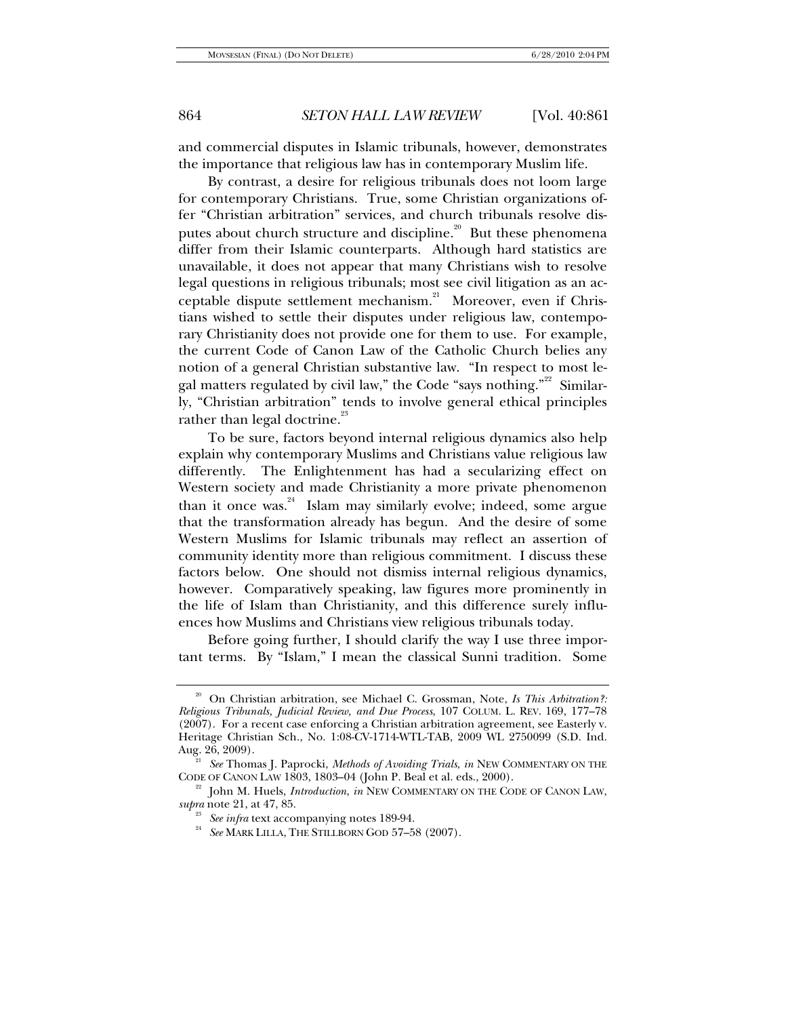and commercial disputes in Islamic tribunals, however, demonstrates the importance that religious law has in contemporary Muslim life.

By contrast, a desire for religious tribunals does not loom large for contemporary Christians. True, some Christian organizations offer "Christian arbitration" services, and church tribunals resolve disputes about church structure and discipline.<sup>20</sup> But these phenomena differ from their Islamic counterparts. Although hard statistics are unavailable, it does not appear that many Christians wish to resolve legal questions in religious tribunals; most see civil litigation as an acceptable dispute settlement mechanism.<sup>21</sup> Moreover, even if Christians wished to settle their disputes under religious law, contemporary Christianity does not provide one for them to use. For example, the current Code of Canon Law of the Catholic Church belies any notion of a general Christian substantive law. "In respect to most legal matters regulated by civil law," the Code "says nothing."<sup>22</sup> Similarly, "Christian arbitration" tends to involve general ethical principles rather than legal doctrine. $^{23}$ 

To be sure, factors beyond internal religious dynamics also help explain why contemporary Muslims and Christians value religious law differently. The Enlightenment has had a secularizing effect on Western society and made Christianity a more private phenomenon than it once was.<sup>24</sup> Islam may similarly evolve; indeed, some argue that the transformation already has begun. And the desire of some Western Muslims for Islamic tribunals may reflect an assertion of community identity more than religious commitment. I discuss these factors below. One should not dismiss internal religious dynamics, however. Comparatively speaking, law figures more prominently in the life of Islam than Christianity, and this difference surely influences how Muslims and Christians view religious tribunals today.

Before going further, I should clarify the way I use three important terms. By "Islam," I mean the classical Sunni tradition. Some

<sup>&</sup>lt;sup>20</sup> On Christian arbitration, see Michael C. Grossman, Note, *Is This Arbitration*?: *Religious Tribunals, Judicial Review, and Due Process*, 107 COLUM. L. REV. 169, 177–78 (2007). For a recent case enforcing a Christian arbitration agreement, see Easterly v. Heritage Christian Sch., No. 1:08-CV-1714-WTL-TAB, 2009 WL 2750099 (S.D. Ind.

Aug. 26, 2009).<br><sup>21</sup> *See* Thomas J. Paprocki, *Methods of Avoiding Trials, in* NEW COMMENTARY ON THE CODE OF CANON LAW 1803, 1803–04 (John P. Beal et al. eds., 2000).

 $^{22}$  John M. Huels, *Introduction*, *in* NEW COMMENTARY ON THE CODE OF CANON LAW, *supra* note 21, at 47, 85.

<sup>&</sup>lt;sup>23</sup> See infra text accompanying notes 189-94.<br><sup>24</sup> See MARK LILLA, THE STILLBORN GOD 57–58 (2007).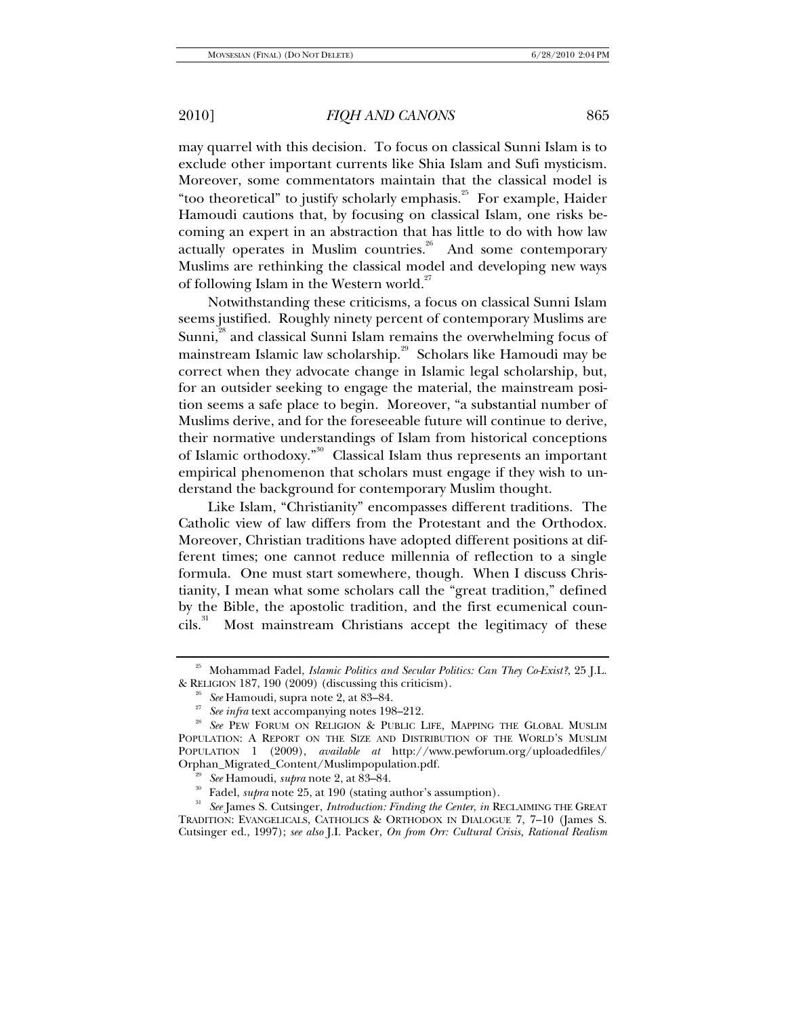may quarrel with this decision. To focus on classical Sunni Islam is to exclude other important currents like Shia Islam and Sufi mysticism. Moreover, some commentators maintain that the classical model is "too theoretical" to justify scholarly emphasis.<sup>25</sup> For example, Haider Hamoudi cautions that, by focusing on classical Islam, one risks becoming an expert in an abstraction that has little to do with how law actually operates in Muslim countries. $26$  And some contemporary Muslims are rethinking the classical model and developing new ways of following Islam in the Western world.<sup>27</sup>

Notwithstanding these criticisms, a focus on classical Sunni Islam seems justified. Roughly ninety percent of contemporary Muslims are Sunni,<sup>28</sup> and classical Sunni Islam remains the overwhelming focus of mainstream Islamic law scholarship.<sup>29</sup> Scholars like Hamoudi may be correct when they advocate change in Islamic legal scholarship, but, for an outsider seeking to engage the material, the mainstream position seems a safe place to begin. Moreover, "a substantial number of Muslims derive, and for the foreseeable future will continue to derive, their normative understandings of Islam from historical conceptions of Islamic orthodoxy."30 Classical Islam thus represents an important empirical phenomenon that scholars must engage if they wish to understand the background for contemporary Muslim thought.

Like Islam, "Christianity" encompasses different traditions. The Catholic view of law differs from the Protestant and the Orthodox. Moreover, Christian traditions have adopted different positions at different times; one cannot reduce millennia of reflection to a single formula. One must start somewhere, though. When I discuss Christianity, I mean what some scholars call the "great tradition," defined by the Bible, the apostolic tradition, and the first ecumenical councils.<sup>31</sup> Most mainstream Christians accept the legitimacy of these

<sup>&</sup>lt;sup>25</sup> Mohammad Fadel, *Islamic Politics and Secular Politics: Can They Co-Exist?*, 25 J.L. & RELIGION 187, 190 (2009) (discussing this criticism).

<sup>&</sup>lt;sup>26</sup> See Hamoudi, supra note 2, at 83–84.<br><sup>27</sup> See infra text accompanying notes 198–212.<br><sup>28</sup> See PEW FORUM ON RELIGION & PUBLIC LIFE, MAPPING THE GLOBAL MUSLIM POPULATION: A REPORT ON THE SIZE AND DISTRIBUTION OF THE WORLD'S MUSLIM POPULATION 1 (2009), *available at* http://www.pewforum.org/uploadedfiles/

<sup>&</sup>lt;sup>29</sup> See Hamoudi, *supra* note 2, at 83–84.<br><sup>30</sup> Fadel, *supra* note 25, at 190 (stating author's assumption).<br><sup>31</sup> See James S. Cutsinger, *Introduction: Finding the Center, in* RECLAIMING THE GREAT TRADITION: EVANGELICALS, CATHOLICS & ORTHODOX IN DIALOGUE 7, 7–10 (James S. Cutsinger ed., 1997); *see also* J.I. Packer, *On from Orr: Cultural Crisis, Rational Realism*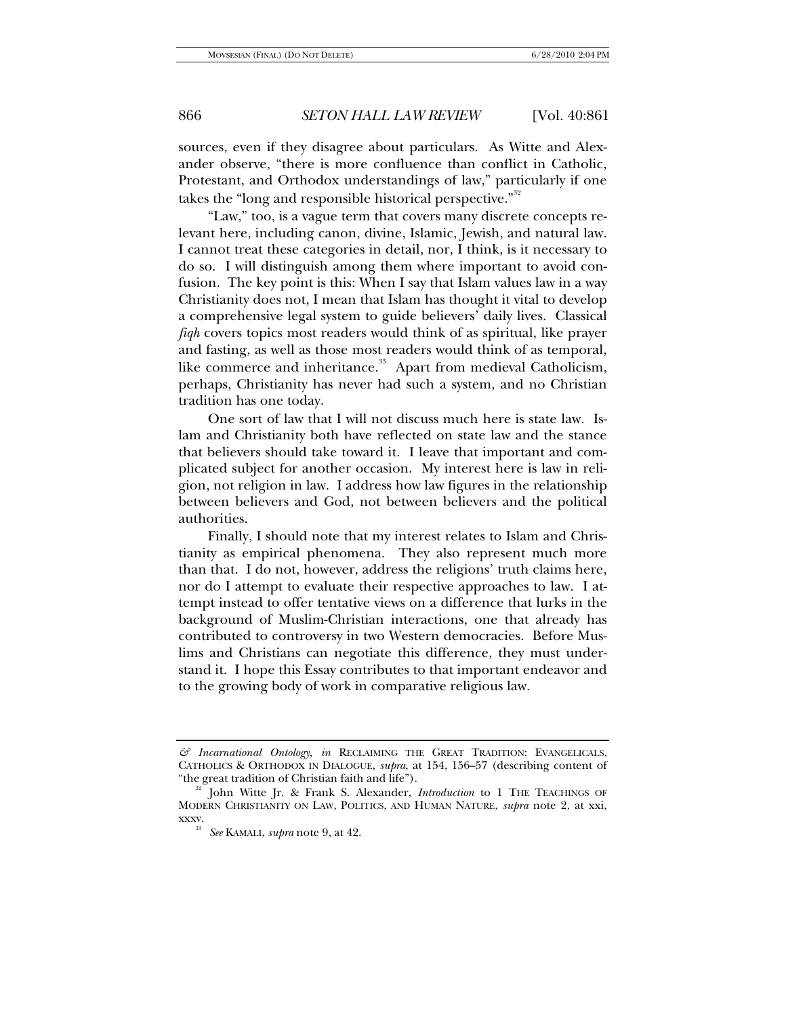sources, even if they disagree about particulars. As Witte and Alexander observe, "there is more confluence than conflict in Catholic, Protestant, and Orthodox understandings of law," particularly if one takes the "long and responsible historical perspective."<sup>32</sup>

"Law," too, is a vague term that covers many discrete concepts relevant here, including canon, divine, Islamic, Jewish, and natural law. I cannot treat these categories in detail, nor, I think, is it necessary to do so. I will distinguish among them where important to avoid confusion. The key point is this: When I say that Islam values law in a way Christianity does not, I mean that Islam has thought it vital to develop a comprehensive legal system to guide believers' daily lives. Classical *fiqh* covers topics most readers would think of as spiritual, like prayer and fasting, as well as those most readers would think of as temporal, like commerce and inheritance.<sup>33</sup> Apart from medieval Catholicism, perhaps, Christianity has never had such a system, and no Christian tradition has one today.

One sort of law that I will not discuss much here is state law. Islam and Christianity both have reflected on state law and the stance that believers should take toward it. I leave that important and complicated subject for another occasion. My interest here is law in religion, not religion in law. I address how law figures in the relationship between believers and God, not between believers and the political authorities.

Finally, I should note that my interest relates to Islam and Christianity as empirical phenomena. They also represent much more than that. I do not, however, address the religions' truth claims here, nor do I attempt to evaluate their respective approaches to law. I attempt instead to offer tentative views on a difference that lurks in the background of Muslim-Christian interactions, one that already has contributed to controversy in two Western democracies. Before Muslims and Christians can negotiate this difference, they must understand it. I hope this Essay contributes to that important endeavor and to the growing body of work in comparative religious law.

*<sup>&</sup>amp; Incarnational Ontology*, *in* RECLAIMING THE GREAT TRADITION: EVANGELICALS, CATHOLICS & ORTHODOX IN DIALOGUE, *supra*, at 154, 156–57 (describing content of "the great tradition of Christian faith and life"). 32 John Witte Jr. & Frank S. Alexander, *Introduction* to 1 THE TEACHINGS OF

MODERN CHRISTIANITY ON LAW, POLITICS, AND HUMAN NATURE, *supra* note 2, at xxi, xxxv. 33 *See* KAMALI, *supra* note 9, at 42.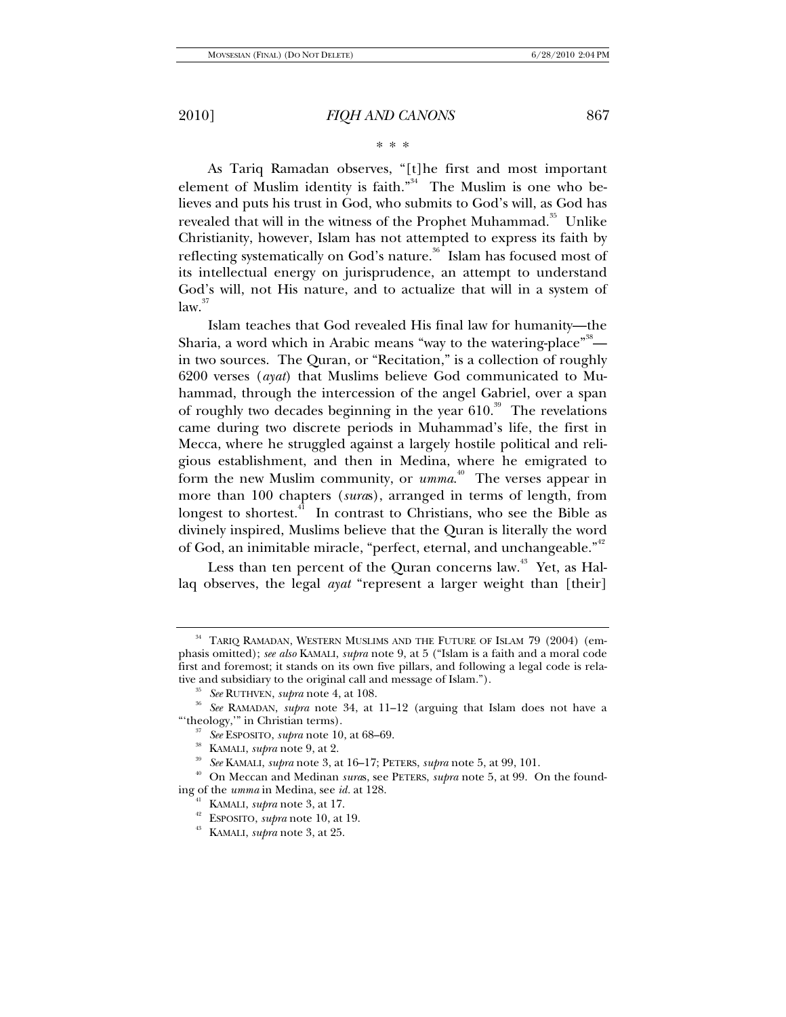\* \* \*

As Tariq Ramadan observes, "[t]he first and most important element of Muslim identity is faith. $\frac{34}{100}$  The Muslim is one who believes and puts his trust in God, who submits to God's will, as God has revealed that will in the witness of the Prophet Muhammad.<sup>35</sup> Unlike Christianity, however, Islam has not attempted to express its faith by reflecting systematically on God's nature.<sup>36</sup> Islam has focused most of its intellectual energy on jurisprudence, an attempt to understand God's will, not His nature, and to actualize that will in a system of  $law.<sup>37</sup>$ 

Islam teaches that God revealed His final law for humanity—the Sharia, a word which in Arabic means "way to the watering-place"<sup>38</sup> in two sources. The Quran, or "Recitation," is a collection of roughly 6200 verses (*ayat*) that Muslims believe God communicated to Muhammad, through the intercession of the angel Gabriel, over a span of roughly two decades beginning in the year  $610$ .<sup>39</sup> The revelations came during two discrete periods in Muhammad's life, the first in Mecca, where he struggled against a largely hostile political and religious establishment, and then in Medina, where he emigrated to form the new Muslim community, or *umma*. 40 The verses appear in more than 100 chapters (*sura*s), arranged in terms of length, from longest to shortest.<sup>41</sup> In contrast to Christians, who see the Bible as divinely inspired, Muslims believe that the Quran is literally the word of God, an inimitable miracle, "perfect, eternal, and unchangeable."<sup>42</sup>

Less than ten percent of the Quran concerns law.<sup>43</sup> Yet, as Hallaq observes, the legal *ayat* "represent a larger weight than [their]

<sup>&</sup>lt;sup>34</sup> TARIQ RAMADAN, WESTERN MUSLIMS AND THE FUTURE OF ISLAM 79 (2004) (emphasis omitted); *see also* KAMALI, *supra* note 9, at 5 ("Islam is a faith and a moral code first and foremost; it stands on its own five pillars, and following a legal code is rela-<br>tive and subsidiary to the original call and message of Islam.").

<sup>&</sup>lt;sup>35</sup> See RUTHVEN, *supra* note 4, at 108.<br><sup>36</sup> See RAMADAN, *supra* note 34, at 11–12 (arguing that Islam does not have a "theology," in Christian terms).

<sup>&</sup>lt;sup>37</sup> See Esposito, *supra* note 10, at 68–69.<br><sup>38</sup> KAMALI, *supra* note 9, at 2.<br><sup>39</sup> See KAMALI, *supra* note 3, at 16–17; PETERS, *supra* note 5, at 99, 101.<br><sup>40</sup> On Meccan and Medinan *sura*s, see PETERS, *supra* note

<sup>&</sup>lt;sup>41</sup> KAMALI, *supra* note 3, at 17.<br><sup>42</sup> ESPOSITO, *supra* note 10, at 19.<br><sup>43</sup> KAMALI, *supra* note 3, at 25.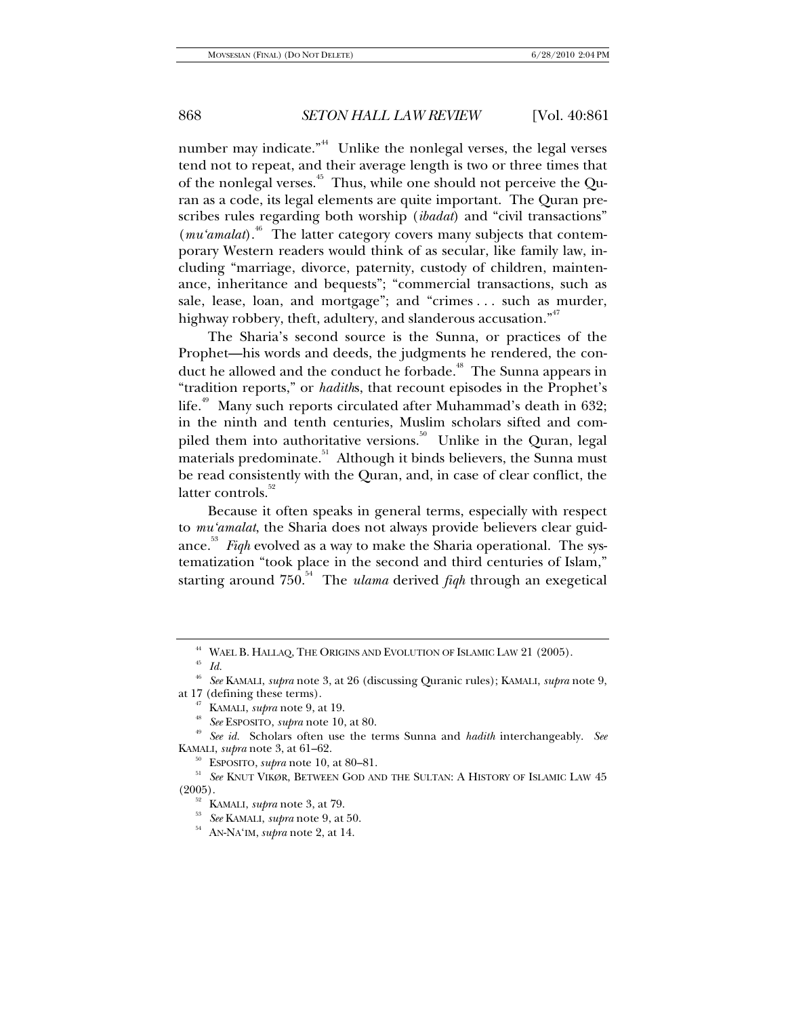number may indicate."<sup>44</sup> Unlike the nonlegal verses, the legal verses tend not to repeat, and their average length is two or three times that of the nonlegal verses.45 Thus, while one should not perceive the Quran as a code, its legal elements are quite important. The Quran prescribes rules regarding both worship (*ibadat*) and "civil transactions" (*mu'amalat*).<sup>46</sup> The latter category covers many subjects that contemporary Western readers would think of as secular, like family law, including "marriage, divorce, paternity, custody of children, maintenance, inheritance and bequests"; "commercial transactions, such as sale, lease, loan, and mortgage"; and "crimes . . . such as murder, highway robbery, theft, adultery, and slanderous accusation."<sup>47</sup>

The Sharia's second source is the Sunna, or practices of the Prophet—his words and deeds, the judgments he rendered, the conduct he allowed and the conduct he forbade.<sup>48</sup> The Sunna appears in "tradition reports," or *hadith*s, that recount episodes in the Prophet's life.<sup> $49$ </sup> Many such reports circulated after Muhammad's death in 632; in the ninth and tenth centuries, Muslim scholars sifted and compiled them into authoritative versions.<sup>50</sup> Unlike in the Quran, legal materials predominate.<sup>51</sup> Although it binds believers, the Sunna must be read consistently with the Quran, and, in case of clear conflict, the latter controls.<sup>52</sup>

Because it often speaks in general terms, especially with respect to *mu'amalat*, the Sharia does not always provide believers clear guidance. $^{\rm 53}$  *Fiqh* evolved as a way to make the Sharia operational. The systematization "took place in the second and third centuries of Islam," starting around 750.<sup>54</sup> The *ulama* derived *figh* through an exegetical

at 17 (defining these terms).<br><sup>47</sup> KAMALI, *supra* note 9, at 19.<br><sup>48</sup> *See* ESPOSITO, *supra* note 10, at 80.<br><sup>49</sup> *See id.* Scholars often use the terms Sunna and *hadith* interchangeably. *See*<br>KAMALI, *supra* note 3, a

<sup>44</sup> WAEL B. HALLAQ, THE ORIGINS AND EVOLUTION OF ISLAMIC LAW 21 (2005). 45 *Id.* 46 *See* KAMALI, *supra* note 3, at 26 (discussing Quranic rules); KAMALI, *supra* note 9,

<sup>&</sup>lt;sup>50</sup> ESPOSITO, *supra* note 10, at 80–81.<br><sup>51</sup> See KNUT VIKØR, BETWEEN GOD AND THE SULTAN: A HISTORY OF ISLAMIC LAW 45<br>(2005).

<sup>(2005). 52</sup> KAMALI, *supra* note 3, at 79. 53 *See* KAMALI, *supra* note 9, at 50. 54 AN-NA'IM, *supra* note 2, at 14.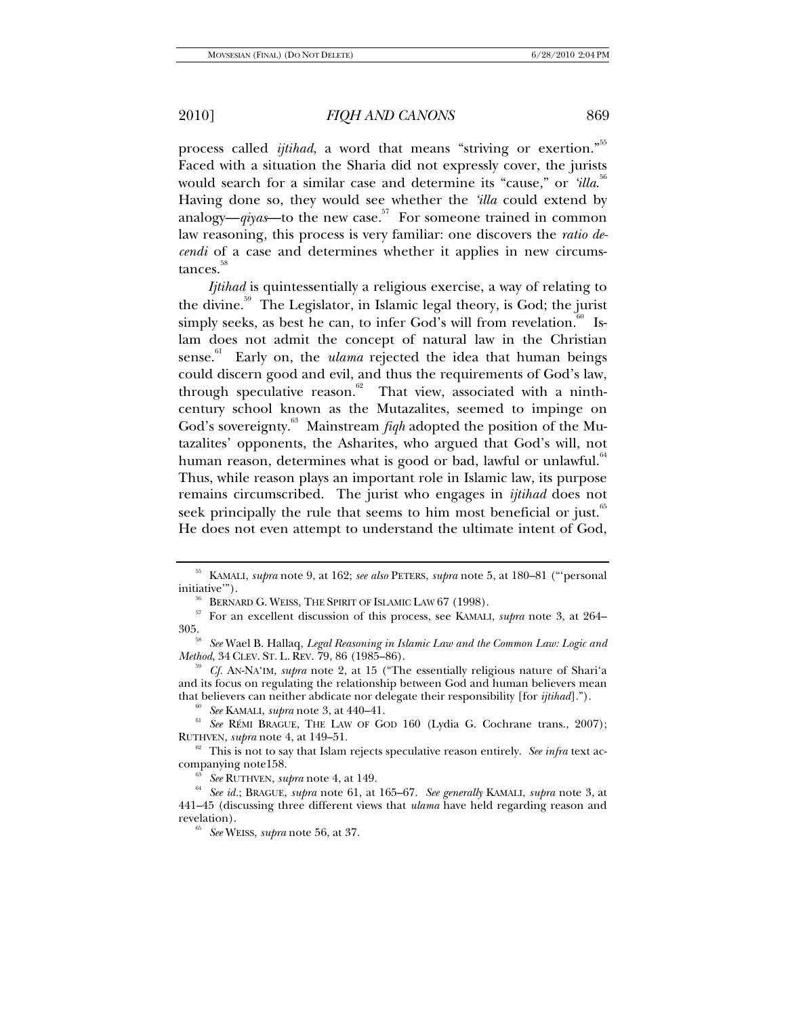process called *ijtihad*, a word that means "striving or exertion."<sup>55</sup> Faced with a situation the Sharia did not expressly cover, the jurists would search for a similar case and determine its "cause," or *'illa*. 56 Having done so, they would see whether the *'illa* could extend by analogy— $qiyas$ —to the new case.<sup>57</sup> For someone trained in common law reasoning, this process is very familiar: one discovers the *ratio decendi* of a case and determines whether it applies in new circumstances.<sup>58</sup>

*Ijtihad* is quintessentially a religious exercise, a way of relating to the divine.<sup>59</sup> The Legislator, in Islamic legal theory, is God; the jurist simply seeks, as best he can, to infer God's will from revelation. $\frac{60}{15}$  Islam does not admit the concept of natural law in the Christian sense.<sup>61</sup> Early on, the *ulama* rejected the idea that human beings could discern good and evil, and thus the requirements of God's law, through speculative reason.<sup>62</sup> That view, associated with a ninthcentury school known as the Mutazalites, seemed to impinge on God's sovereignty.<sup>63</sup> Mainstream *figh* adopted the position of the Mutazalites' opponents, the Asharites, who argued that God's will, not human reason, determines what is good or bad, lawful or unlawful.<sup>64</sup> Thus, while reason plays an important role in Islamic law, its purpose remains circumscribed. The jurist who engages in *ijtihad* does not seek principally the rule that seems to him most beneficial or just.<sup>65</sup> He does not even attempt to understand the ultimate intent of God,

<sup>55</sup> KAMALI, *supra* note 9, at 162; *see also* PETERS, *supra* note 5, at 180–81 ("'personal

initiative'").<br><sup>56</sup> BERNARD G. WEISS, THE SPIRIT OF ISLAMIC LAW 67 (1998).<br><sup>57</sup> For an excellent discussion of this process, see KAMALI, *supra* note 3, at 264–<br>305.

<sup>&</sup>lt;sup>58</sup> See Wael B. Hallaq, *Legal Reasoning in Islamic Law and the Common Law: Logic and Method*, 34 CLEV. ST. L. REV. 79, 86 (1985–86).

<sup>&</sup>lt;sup>59</sup> Cf. AN-NA'IM, *supra* note 2, at 15 ("The essentially religious nature of Shari'a and its focus on regulating the relationship between God and human believers mean

that believers can neither abdicate nor delegate their responsibility [for *ijtihad*].").<br><sup>60</sup> See KAMALI, *supra* note 3, at 440–41.<br><sup>61</sup> See RÉMI BRAGUE, THE LAW OF GOD 160 (Lydia G. Cochrane trans., 2007);<br>RUTHVEN, *su* 

<sup>&</sup>lt;sup>62</sup> This is not to say that Islam rejects speculative reason entirely. *See infra* text accompanying note 158.

companying note158. 63 *See* RUTHVEN, *supra* note 4, at 149. 64 *See id.*; BRAGUE, *supra* note 61, at 165–67. *See generally* KAMALI, *supra* note 3, at 441–45 (discussing three different views that *ulama* have held regarding reason and

 $e^{65}$  *See* WEISS, *supra* note 56, at 37.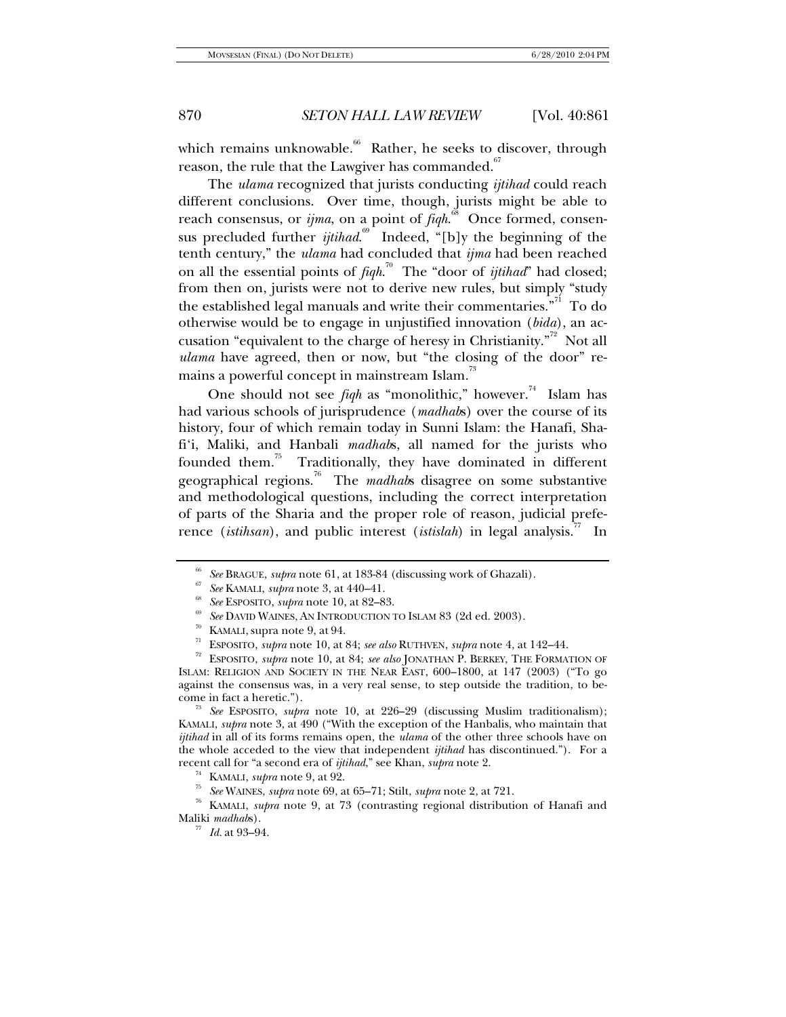which remains unknowable.<sup>66</sup> Rather, he seeks to discover, through reason, the rule that the Lawgiver has commanded.<sup>67</sup>

The *ulama* recognized that jurists conducting *ijtihad* could reach different conclusions. Over time, though, jurists might be able to reach consensus, or *ijma*, on a point of *fiqh*. 68 Once formed, consensus precluded further *ijtihad*.<sup>69</sup> Indeed, "[b]y the beginning of the tenth century," the *ulama* had concluded that *ijma* had been reached on all the essential points of *fiqh*. 70 The "door of *ijtihad*" had closed; from then on, jurists were not to derive new rules, but simply "study the established legal manuals and write their commentaries.<sup>"71</sup> To do otherwise would be to engage in unjustified innovation (*bida*), an accusation "equivalent to the charge of heresy in Christianity."<sup>72</sup> Not all *ulama* have agreed, then or now, but "the closing of the door" remains a powerful concept in mainstream Islam.<sup>73</sup>

One should not see  $figh$  as "monolithic," however.<sup>74</sup> Islam has had various schools of jurisprudence (*madhab*s) over the course of its history, four of which remain today in Sunni Islam: the Hanafi, Shafi'i, Maliki, and Hanbali *madhab*s, all named for the jurists who founded them.<sup>75</sup> Traditionally, they have dominated in different geographical regions.76 The *madhab*s disagree on some substantive and methodological questions, including the correct interpretation of parts of the Sharia and the proper role of reason, judicial preference *(istihsan)*, and public interest *(istislah)* in legal analysis.<sup>77</sup> In

<sup>73</sup> See ESPOSITO, *supra* note 10, at 226–29 (discussing Muslim traditionalism); KAMALI, *supra* note 3, at 490 ("With the exception of the Hanbalis, who maintain that *ijtihad* in all of its forms remains open, the *ulama* of the other three schools have on the whole acceded to the view that independent *ijtihad* has discontinued."). For a recent call for "a second era of *ijtihad*," see Khan, *supra* note 2.

<sup>74</sup> KAMALI, *supra* note 9, at 92.<br><sup>75</sup> *See* WAINES, *supra* note 69, at 65–71; Stilt, *supra* note 2, at 721.<br><sup>76</sup> KAMALI, *supra* note 9, at 73 (contrasting regional distribution of Hanafi and Maliki *madhab*s).

<sup>77</sup> *Id.* at 93–94.

<sup>&</sup>lt;sup>66</sup> See Brague, *supra* note 61, at 183-84 (discussing work of Ghazali).<br><sup>67</sup> See Kamali, *supra* note 3, at 440–41.<br><sup>68</sup> See Esposito, *supra* note 10, at 82–83.<br><sup>69</sup> See DAVID WAINES, AN INTRODUCTION TO ISLAM 83 (2d ed ISLAM: RELIGION AND SOCIETY IN THE NEAR EAST, 600–1800, at 147 (2003) ("To go against the consensus was, in a very real sense, to step outside the tradition, to be-<br>come in fact a heretic.").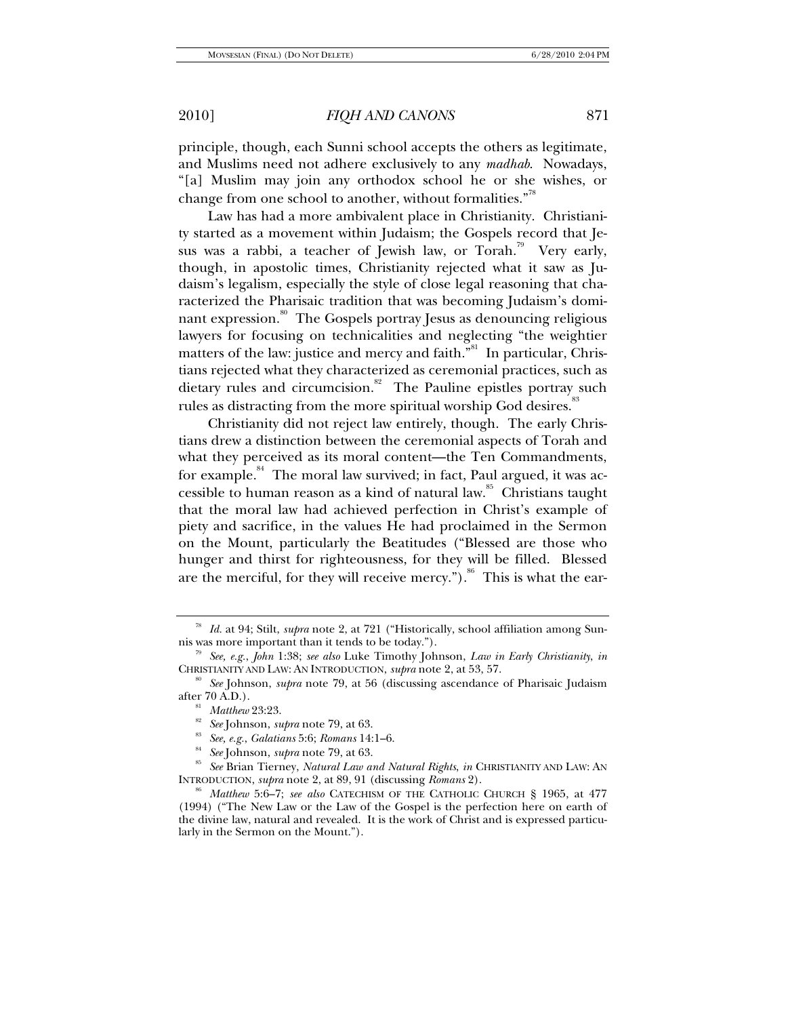principle, though, each Sunni school accepts the others as legitimate, and Muslims need not adhere exclusively to any *madhab*. Nowadays, "[a] Muslim may join any orthodox school he or she wishes, or change from one school to another, without formalities."<sup>8</sup>

Law has had a more ambivalent place in Christianity. Christianity started as a movement within Judaism; the Gospels record that Jesus was a rabbi, a teacher of Jewish law, or Torah.<sup>79</sup> Very early, though, in apostolic times, Christianity rejected what it saw as Judaism's legalism, especially the style of close legal reasoning that characterized the Pharisaic tradition that was becoming Judaism's dominant expression.<sup>80</sup> The Gospels portray Jesus as denouncing religious lawyers for focusing on technicalities and neglecting "the weightier matters of the law: justice and mercy and faith.<sup>"81</sup> In particular, Christians rejected what they characterized as ceremonial practices, such as dietary rules and circumcision.<sup>82</sup> The Pauline epistles portray such rules as distracting from the more spiritual worship God desires.<sup>83</sup>

Christianity did not reject law entirely, though. The early Christians drew a distinction between the ceremonial aspects of Torah and what they perceived as its moral content—the Ten Commandments, for example. $84$  The moral law survived; in fact, Paul argued, it was accessible to human reason as a kind of natural law.<sup>85</sup> Christians taught that the moral law had achieved perfection in Christ's example of piety and sacrifice, in the values He had proclaimed in the Sermon on the Mount, particularly the Beatitudes ("Blessed are those who hunger and thirst for righteousness, for they will be filled. Blessed are the merciful, for they will receive mercy.").<sup>86</sup> This is what the ear-

<sup>&</sup>lt;sup>78</sup> *Id.* at 94; Stilt, *supra* note 2, at 721 ("Historically, school affiliation among Sunnis was more important than it tends to be today.").

nis was more important than it tends to be today."). 79 *See, e.g.*, *John* 1:38; *see also* Luke Timothy Johnson, *Law in Early Christianity*, *in* CHRISTIANITY AND LAW: AN INTRODUCTION, *supra* note 2, at 53, 57. 80 *See* Johnson, *supra* note 79, at 56 (discussing ascendance of Pharisaic Judaism

after 70 A.D.).<br><sup>81</sup> *Matthew* 23:23.<br><sup>82</sup> *See* Johnson, *supra* note 79, at 63.

<sup>&</sup>lt;sup>83</sup> See, e.g., Galatians 5:6; Romans 14:1–6.<br><sup>84</sup> See Johnson, *supra* note 79, at 63.<br><sup>85</sup> See Brian Tierney, *Natural Law and Natural Rights, in* CHRISTIANITY AND LAW: AN<br>INTRODUCTION, *supra* note 2, at 89, 91 (discus

<sup>&</sup>lt;sup>86</sup> Matthew 5:6–7; *see also* CATECHISM OF THE CATHOLIC CHURCH § 1965, at 477 (1994) ("The New Law or the Law of the Gospel is the perfection here on earth of the divine law, natural and revealed. It is the work of Christ and is expressed particularly in the Sermon on the Mount.").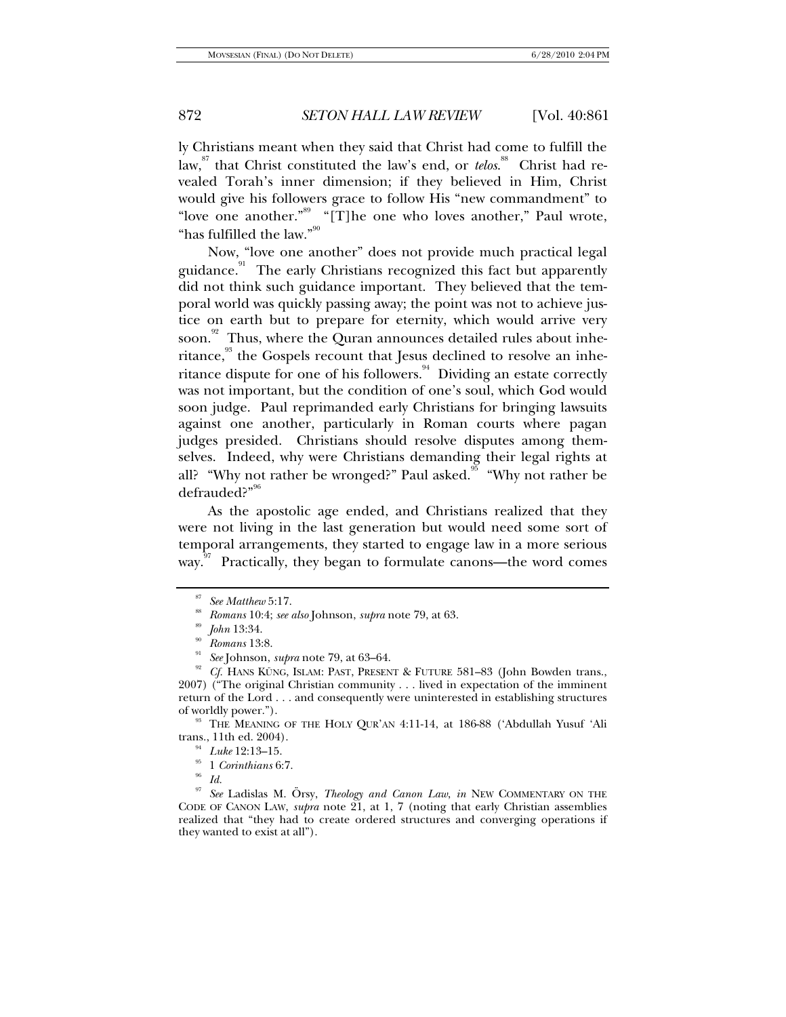ly Christians meant when they said that Christ had come to fulfill the law, <sup>87</sup> that Christ constituted the law's end, or *telos*.<sup>88</sup> Christ had revealed Torah's inner dimension; if they believed in Him, Christ would give his followers grace to follow His "new commandment" to "love one another."<sup>89</sup> "[T]he one who loves another," Paul wrote, "has fulfilled the law."<sup>90</sup>

Now, "love one another" does not provide much practical legal guidance.<sup>91</sup> The early Christians recognized this fact but apparently did not think such guidance important. They believed that the temporal world was quickly passing away; the point was not to achieve justice on earth but to prepare for eternity, which would arrive very soon.<sup>92</sup> Thus, where the Quran announces detailed rules about inheritance, $\frac{93}{5}$  the Gospels recount that Jesus declined to resolve an inheritance dispute for one of his followers.<sup>94</sup> Dividing an estate correctly was not important, but the condition of one's soul, which God would soon judge. Paul reprimanded early Christians for bringing lawsuits against one another, particularly in Roman courts where pagan judges presided. Christians should resolve disputes among themselves. Indeed, why were Christians demanding their legal rights at all? "Why not rather be wronged?" Paul asked.<sup>95</sup> "Why not rather be defrauded?"<sup>96</sup>

As the apostolic age ended, and Christians realized that they were not living in the last generation but would need some sort of temporal arrangements, they started to engage law in a more serious way.<sup>97</sup> Practically, they began to formulate canons—the word comes

trans., 11th ed. 2004).<br><sup>94</sup> Luke 12:13–15.<br><sup>95</sup> 1 *Corinthians* 6:7.<br><sup>96</sup> Id.<br><sup>97</sup> See Ladislas M. Örsy, *Theology and Canon Law*, *in* NEW COMMENTARY ON THE

<sup>&</sup>lt;sup>87</sup> See Matthew 5:17.<br>
<sup>88</sup> Romans 10:4; see also Johnson, *supra* note 79, at 63.<br>
<sup>89</sup> John 13:34.<br>
<sup>90</sup> Romans 13:8.<br>
<sup>91</sup> See Johnson, *supra* note 79, at 63–64.<br>
<sup>92</sup> Cf. HANS KÜNG, ISLAM: PAST, PRESENT & FUTURE 581 2007) ("The original Christian community . . . lived in expectation of the imminent return of the Lord . . . and consequently were uninterested in establishing structures of worldly power."). 93 THE MEANING OF THE HOLY QUR'AN 4:11-14, at 186-88 ('Abdullah Yusuf 'Ali

CODE OF CANON LAW, *supra* note 21, at 1, 7 (noting that early Christian assemblies realized that "they had to create ordered structures and converging operations if they wanted to exist at all").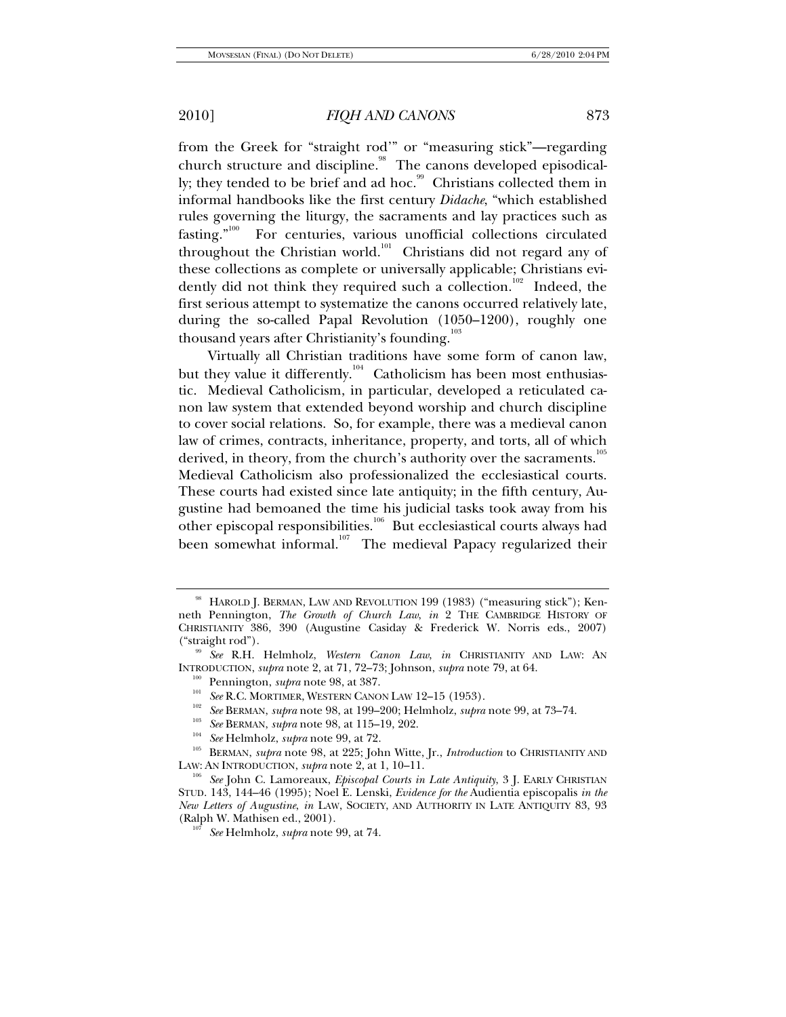from the Greek for "straight rod'" or "measuring stick"—regarding church structure and discipline.<sup>98</sup> The canons developed episodically; they tended to be brief and ad hoc.<sup>99</sup> Christians collected them in informal handbooks like the first century *Didache*, "which established rules governing the liturgy, the sacraments and lay practices such as fasting."<sup>100</sup> For centuries, various unofficial collections circulated throughout the Christian world.<sup>101</sup> Christians did not regard any of these collections as complete or universally applicable; Christians evidently did not think they required such a collection.<sup>102</sup> Indeed, the first serious attempt to systematize the canons occurred relatively late, during the so-called Papal Revolution (1050–1200), roughly one thousand years after Christianity's founding.<sup>103</sup>

Virtually all Christian traditions have some form of canon law, but they value it differently.<sup>104</sup> Catholicism has been most enthusiastic. Medieval Catholicism, in particular, developed a reticulated canon law system that extended beyond worship and church discipline to cover social relations. So, for example, there was a medieval canon law of crimes, contracts, inheritance, property, and torts, all of which derived, in theory, from the church's authority over the sacraments.<sup>105</sup> Medieval Catholicism also professionalized the ecclesiastical courts. These courts had existed since late antiquity; in the fifth century, Augustine had bemoaned the time his judicial tasks took away from his other episcopal responsibilities.<sup>106</sup> But ecclesiastical courts always had been somewhat informal.<sup>107</sup> The medieval Papacy regularized their

<sup>&</sup>lt;sup>98</sup> HAROLD J. BERMAN, LAW AND REVOLUTION 199 (1983) ("measuring stick"); Kenneth Pennington, *The Growth of Church Law*, *in* 2 THE CAMBRIDGE HISTORY OF CHRISTIANITY 386, 390 (Augustine Casiday & Frederick W. Norris eds., 2007)

<sup>&</sup>lt;sup>99</sup> See R.H. Helmholz, *Western Canon Law*, *in* CHRISTIANITY AND LAW: AN INTRODUCTION, *subra* note 2, at 71, 72–73; Johnson, *subra* note 79, at 64.

<sup>&</sup>lt;sup>100</sup> Pennington, *supra* note 98, at 387.<br><sup>101</sup> *See* R.C. MORTIMER, WESTERN CANON LAW 12–15 (1953).<br><sup>102</sup> *See* BERMAN, *supra* note 98, at 199–200; Helmholz, *supra* note 99, at 73–74.<br><sup>103</sup> *See* BERMAN, *supra* note

LAW: AN INTRODUCTION, *supra* note 2, at 1, 10–11.<br><sup>106</sup> See John C. Lamoreaux, *Episcopal Courts in Late Antiquity*, 3 J. EARLY CHRISTIAN STUD. 143, 144–46 (1995); Noel E. Lenski, *Evidence for the* Audientia episcopalis *in the New Letters of Augustine*, *in* LAW, SOCIETY, AND AUTHORITY IN LATE ANTIQUITY 83, 93

<sup>&</sup>lt;sup>107</sup> See Helmholz, *supra* note 99, at 74.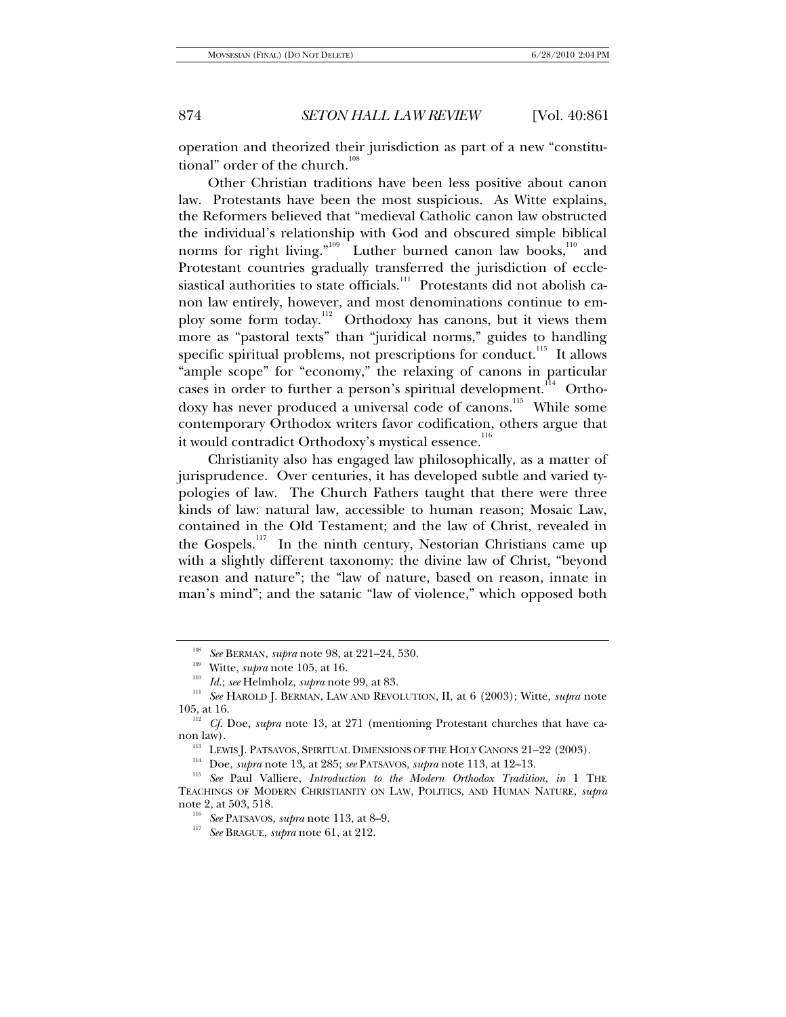operation and theorized their jurisdiction as part of a new "constitutional" order of the church. $108$ 

Other Christian traditions have been less positive about canon law. Protestants have been the most suspicious. As Witte explains, the Reformers believed that "medieval Catholic canon law obstructed the individual's relationship with God and obscured simple biblical norms for right living."<sup>109</sup> Luther burned canon law books,<sup>110</sup> and Protestant countries gradually transferred the jurisdiction of ecclesiastical authorities to state officials.<sup>111</sup> Protestants did not abolish canon law entirely, however, and most denominations continue to employ some form today.112 Orthodoxy has canons, but it views them more as "pastoral texts" than "juridical norms," guides to handling specific spiritual problems, not prescriptions for conduct.<sup>113</sup> It allows "ample scope" for "economy," the relaxing of canons in particular cases in order to further a person's spiritual development.<sup>114</sup> Orthodoxy has never produced a universal code of canons.<sup>115</sup> While some contemporary Orthodox writers favor codification, others argue that it would contradict Orthodoxy's mystical essence.<sup>116</sup>

Christianity also has engaged law philosophically, as a matter of jurisprudence. Over centuries, it has developed subtle and varied typologies of law. The Church Fathers taught that there were three kinds of law: natural law, accessible to human reason; Mosaic Law, contained in the Old Testament; and the law of Christ, revealed in the Gospels.<sup>117</sup> In the ninth century, Nestorian Christians came up with a slightly different taxonomy: the divine law of Christ, "beyond reason and nature"; the "law of nature, based on reason, innate in man's mind"; and the satanic "law of violence," which opposed both

<sup>&</sup>lt;sup>108</sup> *See* BERMAN, *supra* note 98, at 221–24, 530.<br><sup>109</sup> Witte, *supra* note 105, at 16.<br><sup>110</sup> *Id.; see* Helmholz, *supra* note 99, at 83.<br><sup>111</sup> *See* HAROLD J. BERMAN, LAW AND REVOLUTION, II, at 6 (2003); Witte, *supr* 

<sup>105,</sup> at 16. <sup>112</sup> *Cf.* Doe, *supra* note 13, at 271 (mentioning Protestant churches that have ca-<br>non law).

<sup>&</sup>lt;sup>113</sup> LEWIS J. PATSAVOS, SPIRITUAL DIMENSIONS OF THE HOLY CANONS 21–22 (2003).<br><sup>114</sup> Doe, *supra* note 13, at 285; *see* PATSAVOS, *supra* note 113, at 12–13.<br><sup>115</sup> See Paul Valliere, *Introduction to the Modern Orthodox* TEACHINGS OF MODERN CHRISTIANITY ON LAW, POLITICS, AND HUMAN NATURE, *supra* note 2, at 503, 518. 116 *See* PATSAVOS, *supra* note 113, at 8–9. 117 *See* BRAGUE, *supra* note 61, at 212.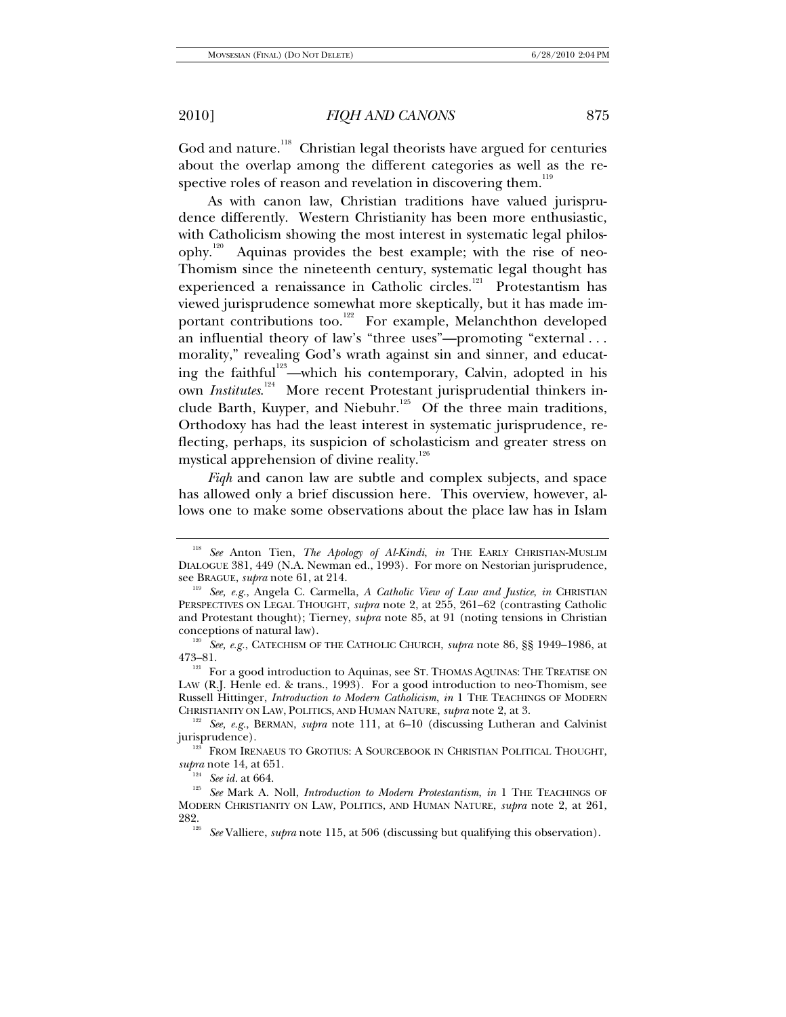God and nature.<sup>118</sup> Christian legal theorists have argued for centuries about the overlap among the different categories as well as the respective roles of reason and revelation in discovering them.<sup>119</sup>

As with canon law, Christian traditions have valued jurisprudence differently. Western Christianity has been more enthusiastic, with Catholicism showing the most interest in systematic legal philos $ophy$ <sup>120</sup> Aquinas provides the best example; with the rise of neo-Thomism since the nineteenth century, systematic legal thought has experienced a renaissance in Catholic circles.<sup>121</sup> Protestantism has viewed jurisprudence somewhat more skeptically, but it has made important contributions too.<sup>122</sup> For example, Melanchthon developed an influential theory of law's "three uses"—promoting "external . . . morality," revealing God's wrath against sin and sinner, and educating the faithful<sup>123</sup>—which his contemporary, Calvin, adopted in his own *Institutes.*<sup>124</sup> More recent Protestant jurisprudential thinkers include Barth, Kuyper, and Niebuhr.<sup>125</sup> Of the three main traditions, Orthodoxy has had the least interest in systematic jurisprudence, reflecting, perhaps, its suspicion of scholasticism and greater stress on mystical apprehension of divine reality.<sup>126</sup>

*Fiqh* and canon law are subtle and complex subjects, and space has allowed only a brief discussion here. This overview, however, allows one to make some observations about the place law has in Islam

See Anton Tien, *The Apology of Al-Kindi*, *in* THE EARLY CHRISTIAN-MUSLIM DIALOGUE 381, 449 (N.A. Newman ed., 1993). For more on Nestorian jurisprudence, see BRAGUE, *supra* note 61, at 214.

<sup>&</sup>lt;sup>119</sup> See, e.g., Angela C. Carmella, *A Catholic View of Law and Justice*, *in* CHRISTIAN PERSPECTIVES ON LEGAL THOUGHT, *supra* note 2, at 255, 261–62 (contrasting Catholic and Protestant thought); Tierney, *supra* note 85, at 91 (noting tensions in Christian conceptions of natural law). 120 *See, e.g.*, CATECHISM OF THE CATHOLIC CHURCH, *supra* note 86, §§ 1949–1986, at

<sup>473–81. &</sup>lt;br><sup>121</sup> For a good introduction to Aquinas, see ST. THOMAS AQUINAS: THE TREATISE ON LAW (R.J. Henle ed. & trans., 1993). For a good introduction to neo-Thomism, see Russell Hittinger, *Introduction to Modern Catholicism*, *in* 1 THE TEACHINGS OF MODERN

CHRISTIANITY ON LAW, POLITICS, AND HUMAN NATURE, *supra* note 2, at 3.<br><sup>122</sup> See, e.g., BERMAN, *supra* note 111, at 6–10 (discussing Lutheran and Calvinist<br>jurisprudence).

<sup>&</sup>lt;sup>123</sup> FROM IRENAEUS TO GROTIUS: A SOURCEBOOK IN CHRISTIAN POLITICAL THOUGHT, *supra* note 14, at 651.

<sup>&</sup>lt;sup>124</sup> See id. at 664.<br><sup>125</sup> See Mark A. Noll, *Introduction to Modern Protestantism*, *in* 1 THE TEACHINGS OF MODERN CHRISTIANITY ON LAW, POLITICS, AND HUMAN NATURE, *supra* note 2, at 261,

 $^{126}$  See Valliere, *supra* note 115, at 506 (discussing but qualifying this observation).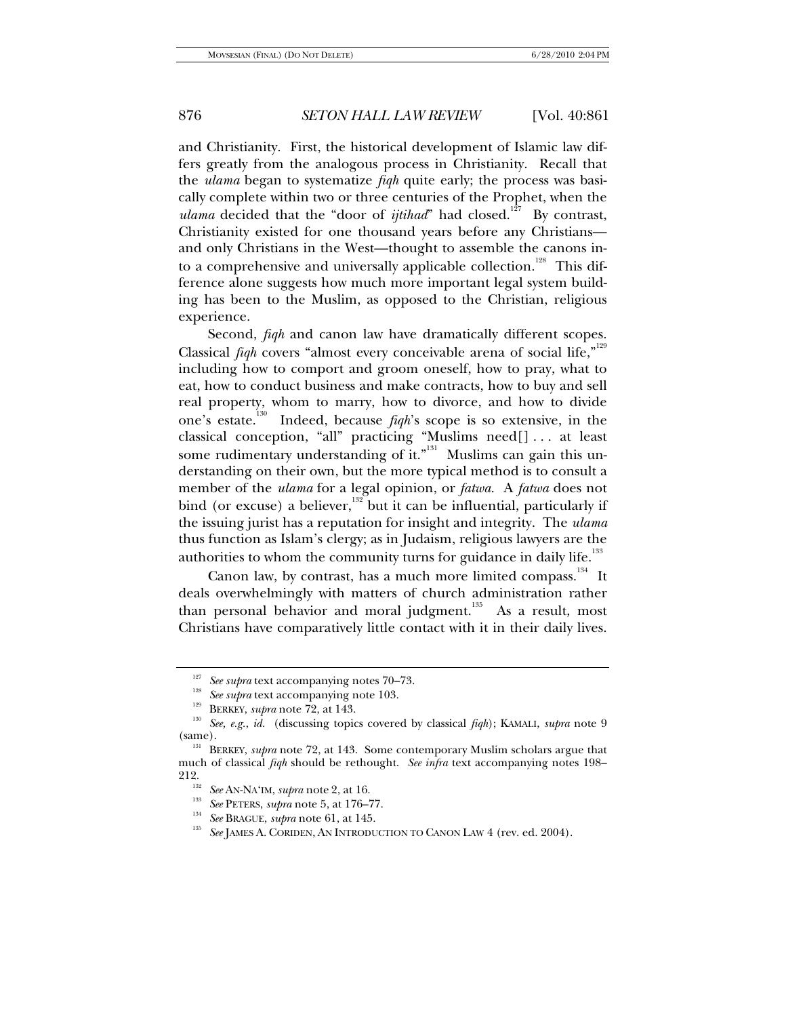and Christianity. First, the historical development of Islamic law differs greatly from the analogous process in Christianity. Recall that the *ulama* began to systematize *fiqh* quite early; the process was basically complete within two or three centuries of the Prophet, when the *ulama* decided that the "door of *ijtihad*" had closed.<sup>127</sup> By contrast, Christianity existed for one thousand years before any Christians and only Christians in the West—thought to assemble the canons into a comprehensive and universally applicable collection.<sup>128</sup> This difference alone suggests how much more important legal system building has been to the Muslim, as opposed to the Christian, religious experience.

Second, *fiqh* and canon law have dramatically different scopes. Classical *figh* covers "almost every conceivable arena of social life,"<sup>129</sup> including how to comport and groom oneself, how to pray, what to eat, how to conduct business and make contracts, how to buy and sell real property, whom to marry, how to divorce, and how to divide<br>one's estate.<sup>13</sup> Indeed, because *figh*'s scope is so extensive, in the Indeed, because *fiqh*'s scope is so extensive, in the classical conception, "all" practicing "Muslims need[] . . . at least some rudimentary understanding of it."<sup>131</sup> Muslims can gain this understanding on their own, but the more typical method is to consult a member of the *ulama* for a legal opinion, or *fatwa*. A *fatwa* does not bind (or excuse) a believer,<sup>132</sup> but it can be influential, particularly if the issuing jurist has a reputation for insight and integrity. The *ulama* thus function as Islam's clergy; as in Judaism, religious lawyers are the authorities to whom the community turns for guidance in daily life.<sup>133</sup>

Canon law, by contrast, has a much more limited compass.<sup>134</sup> It deals overwhelmingly with matters of church administration rather than personal behavior and moral judgment.<sup>135</sup> As a result, most Christians have comparatively little contact with it in their daily lives.

<sup>&</sup>lt;sup>127</sup> See supra text accompanying notes 70–73.<br><sup>128</sup> See supra text accompanying note 103.<br><sup>129</sup> BERKEY, *supra* note 72, at 143.<br><sup>130</sup> See, e.g., id. (discussing topics covered by classical *figh*); KAMALI, *supra* note (same). 131 BERKEY, *supra* note 72, at 143. Some contemporary Muslim scholars argue that

much of classical *fiqh* should be rethought. *See infra* text accompanying notes 198–

<sup>&</sup>lt;sup>132</sup> See AN-NA'IM, supra note 2, at 16.<br><sup>133</sup> See PETERS, supra note 5, at 176–77.<br><sup>134</sup> See BRAGUE, supra note 61, at 145.<br><sup>135</sup> See JAMES A. CORIDEN, AN INTRODUCTION TO CANON LAW 4 (rev. ed. 2004).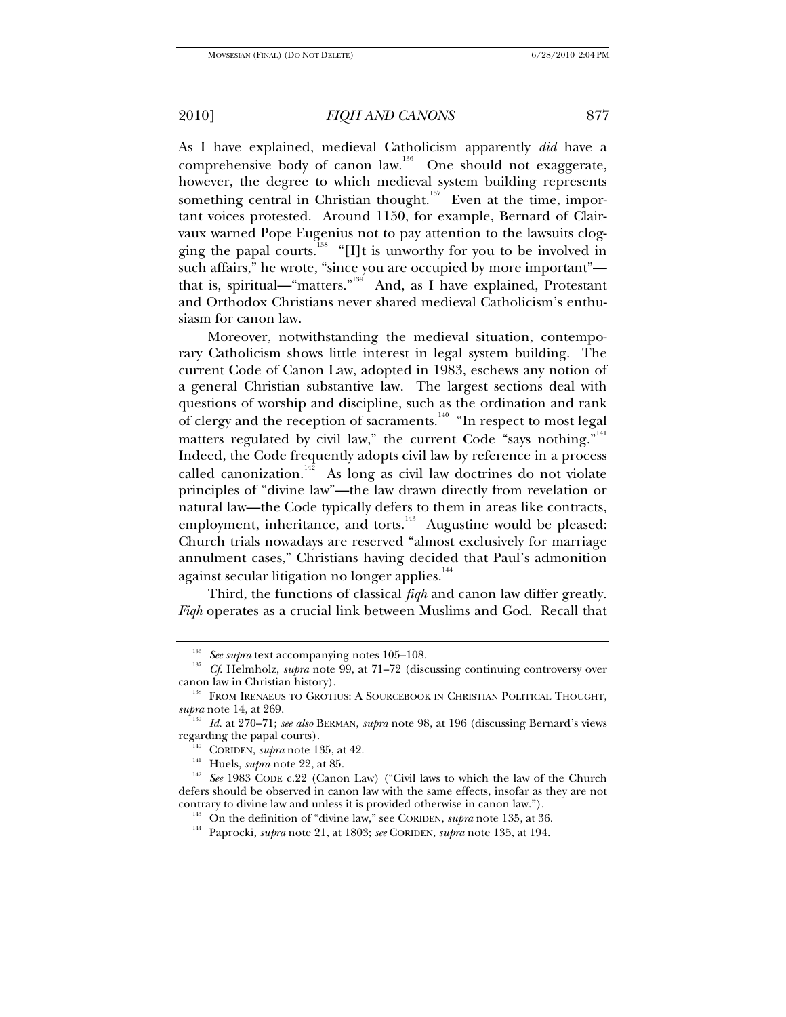As I have explained, medieval Catholicism apparently *did* have a comprehensive body of canon law.<sup>136</sup> One should not exaggerate, however, the degree to which medieval system building represents something central in Christian thought.<sup>137</sup> Even at the time, important voices protested. Around 1150, for example, Bernard of Clairvaux warned Pope Eugenius not to pay attention to the lawsuits clogging the papal courts.<sup>138</sup> "[I]t is unworthy for you to be involved in such affairs," he wrote, "since you are occupied by more important" that is, spiritual—"matters."<sup>139</sup> And, as I have explained, Protestant and Orthodox Christians never shared medieval Catholicism's enthusiasm for canon law.

Moreover, notwithstanding the medieval situation, contemporary Catholicism shows little interest in legal system building. The current Code of Canon Law, adopted in 1983, eschews any notion of a general Christian substantive law. The largest sections deal with questions of worship and discipline, such as the ordination and rank of clergy and the reception of sacraments.<sup>140</sup> "In respect to most legal" matters regulated by civil law," the current Code "says nothing." $141$ Indeed, the Code frequently adopts civil law by reference in a process called canonization.<sup>142</sup> As long as civil law doctrines do not violate principles of "divine law"—the law drawn directly from revelation or natural law—the Code typically defers to them in areas like contracts, employment, inheritance, and torts.<sup>143</sup> Augustine would be pleased: Church trials nowadays are reserved "almost exclusively for marriage annulment cases," Christians having decided that Paul's admonition against secular litigation no longer applies. $144$ 

Third, the functions of classical *fiqh* and canon law differ greatly. *Fiqh* operates as a crucial link between Muslims and God. Recall that

<sup>&</sup>lt;sup>136</sup> See supra text accompanying notes 105–108.<br><sup>137</sup> Cf. Helmholz, *supra* note 99, at 71–72 (discussing continuing controversy over<br>canon law in Christian history).

<sup>&</sup>lt;sup>138</sup> FROM IRENAEUS TO GROTIUS: A SOURCEBOOK IN CHRISTIAN POLITICAL THOUGHT, *supra* note 14, at 269.

<sup>&</sup>lt;sup>139</sup> Id. at 270–71; *see also* BERMAN, *supra* note 98, at 196 (discussing Bernard's views regarding the papal courts).

<sup>&</sup>lt;sup>140</sup> CORIDEN, *supra* note 135, at 42.<br><sup>141</sup> Huels, *supra* note 22, at 85. *See* 1983 CODE c.22 (Canon Law) ("Civil laws to which the law of the Church defers should be observed in canon law with the same effects, insofar as they are not contrary to divine law and unless it is provided otherwise in canon law.").<br><sup>143</sup> On the definition of "divine law," see CORIDEN, *supra* note 135, at 36.<br><sup>144</sup> Paprocki, *supra* note 21, at 1803; *see* CORIDEN, *supra* no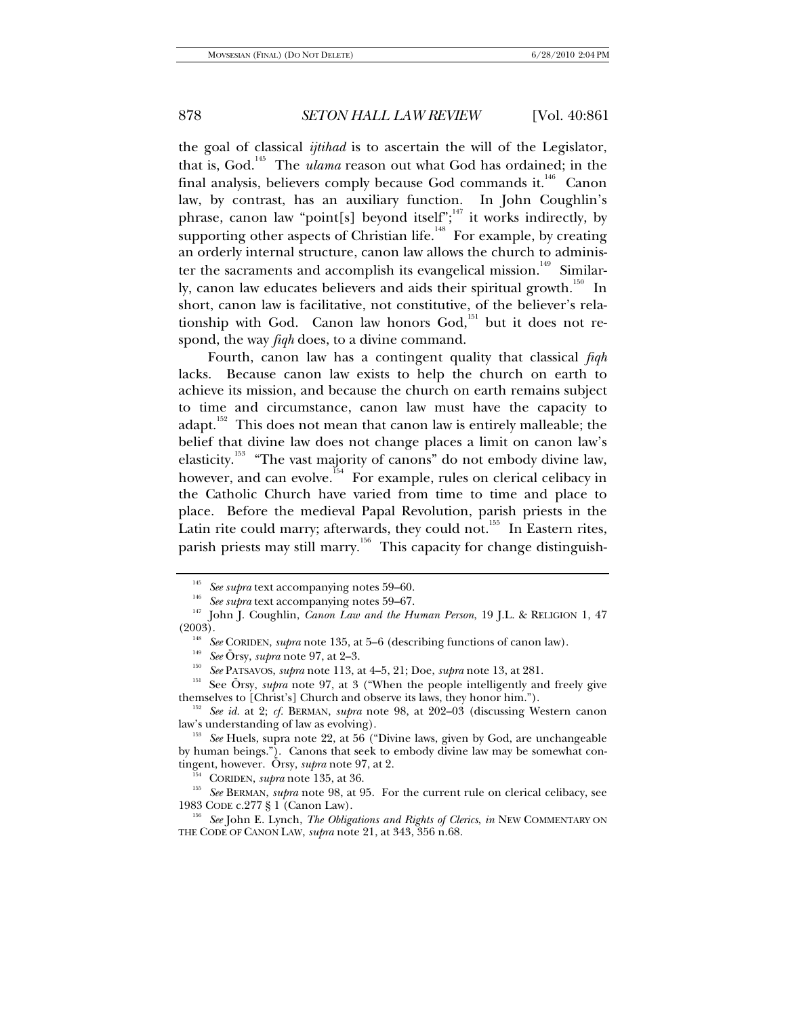the goal of classical *ijtihad* is to ascertain the will of the Legislator, that is, God.145 The *ulama* reason out what God has ordained; in the final analysis, believers comply because God commands it.<sup>146</sup> Canon law, by contrast, has an auxiliary function. In John Coughlin's phrase, canon law "point[s] beyond itself";<sup>147</sup> it works indirectly, by supporting other aspects of Christian life.<sup>148</sup> For example, by creating an orderly internal structure, canon law allows the church to administer the sacraments and accomplish its evangelical mission.<sup>149</sup> Similarly, canon law educates believers and aids their spiritual growth.<sup>150</sup> In short, canon law is facilitative, not constitutive, of the believer's relationship with God. Canon law honors God,<sup>151</sup> but it does not respond, the way *fiqh* does, to a divine command.

Fourth, canon law has a contingent quality that classical *fiqh*  lacks. Because canon law exists to help the church on earth to achieve its mission, and because the church on earth remains subject to time and circumstance, canon law must have the capacity to adapt.<sup>152</sup> This does not mean that canon law is entirely malleable; the belief that divine law does not change places a limit on canon law's elasticity.<sup>153</sup> "The vast majority of canons" do not embody divine law, however, and can evolve.<sup>154</sup> For example, rules on clerical celibacy in the Catholic Church have varied from time to time and place to place. Before the medieval Papal Revolution, parish priests in the Latin rite could marry; afterwards, they could not.<sup>155</sup> In Eastern rites, parish priests may still marry.<sup>156</sup> This capacity for change distinguish-

<sup>&</sup>lt;sup>145</sup> See supra text accompanying notes 59–60.<br><sup>146</sup> See supra text accompanying notes 59–67.<br><sup>147</sup> John J. Coughlin, *Canon Law and the Human Person*, 19 J.L. & RELIGION 1, 47<br>(2003).

<sup>&</sup>lt;sup>148</sup> See CORIDEN, *supra* note 135, at 5–6 (describing functions of canon law).<br><sup>149</sup> See Örsy, *supra* note 97, at 2–3.<br><sup>150</sup> See PATSAVOS, *supra* note 113, at 4–5, 21; Doe, *supra* note 13, at 281.<br><sup>151</sup> See Örsy, *su* 

<sup>&</sup>lt;sup>152</sup> See id. at 2; *cf.* BERMAN, *supra* note 98, at 202-03 (discussing Western canon law's understanding of law as evolving). 153 *See* Huels, supra note 22, at 56 ("Divine laws, given by God, are unchangeable

by human beings."). Canons that seek to embody divine law may be somewhat contingent, however. Orsy, *supra* note 97, at 2.

<sup>&</sup>lt;sup>154</sup> CORIDEN, *supra* note 135, at 36.<br><sup>155</sup> See BERMAN, *supra* note 98, at 95. For the current rule on clerical celibacy, see<br>1983 CODE c.277 § 1 (Canon Law).

<sup>&</sup>lt;sup>156</sup> See John E. Lynch, *The Obligations and Rights of Clerics*, *in* NEW COMMENTARY ON THE CODE OF CANON LAW, *supra* note 21, at 343, 356 n.68.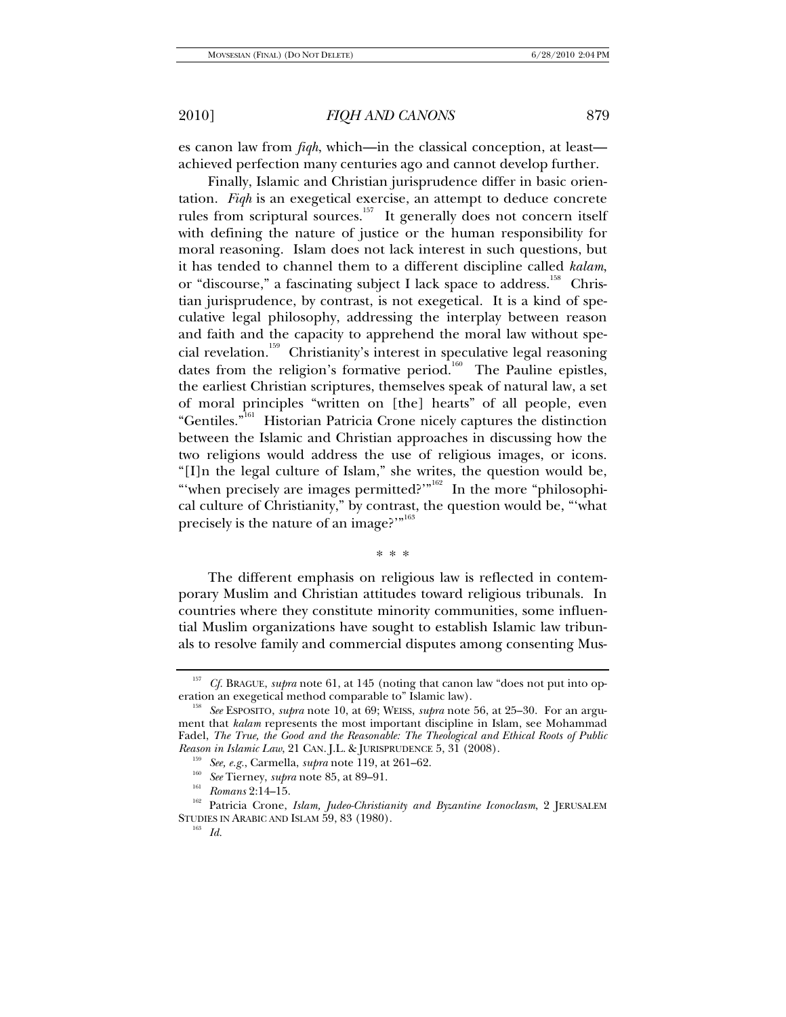es canon law from *fiqh*, which—in the classical conception, at least achieved perfection many centuries ago and cannot develop further.

Finally, Islamic and Christian jurisprudence differ in basic orientation. *Fiqh* is an exegetical exercise, an attempt to deduce concrete rules from scriptural sources.<sup>157</sup> It generally does not concern itself with defining the nature of justice or the human responsibility for moral reasoning. Islam does not lack interest in such questions, but it has tended to channel them to a different discipline called *kalam*, or "discourse," a fascinating subject I lack space to address.<sup>158</sup> Christian jurisprudence, by contrast, is not exegetical. It is a kind of speculative legal philosophy, addressing the interplay between reason and faith and the capacity to apprehend the moral law without special revelation.<sup>159</sup> Christianity's interest in speculative legal reasoning dates from the religion's formative period.<sup>160</sup> The Pauline epistles, the earliest Christian scriptures, themselves speak of natural law, a set of moral principles "written on [the] hearts" of all people, even "Gentiles."161 Historian Patricia Crone nicely captures the distinction between the Islamic and Christian approaches in discussing how the two religions would address the use of religious images, or icons. "[I]n the legal culture of Islam," she writes, the question would be, "'when precisely are images permitted?'"<sup>162</sup> In the more "philosophical culture of Christianity," by contrast, the question would be, "'what precisely is the nature of an image?"<sup>163</sup>

\* \* \*

The different emphasis on religious law is reflected in contemporary Muslim and Christian attitudes toward religious tribunals. In countries where they constitute minority communities, some influential Muslim organizations have sought to establish Islamic law tribunals to resolve family and commercial disputes among consenting Mus-

<sup>&</sup>lt;sup>157</sup> *Cf.* BRAGUE, *supra* note 61, at 145 (noting that canon law "does not put into operation an exegetical method comparable to" Islamic law). 158 *See* ESPOSITO, *supra* note 10, at 69; WEISS, *supra* note 56, at 25–30. For an argu-

ment that *kalam* represents the most important discipline in Islam, see Mohammad Fadel, *The True, the Good and the Reasonable: The Theological and Ethical Roots of Public* 

<sup>&</sup>lt;sup>159</sup> *See, e.g.*, Carmella, *supra* note 119, at 261–62.<br><sup>160</sup> *See* Tierney, *supra* note 85, at 89–91.<br><sup>161</sup> *Romans* 2:14–15.<br><sup>162</sup> Patricia Crone, *Islam, Judeo-Christianity and Byzantine Iconoclasm*, 2 JERUSALEM STUDIES IN ARABIC AND ISLAM 59, 83 (1980).<br><sup>163</sup> *Id.*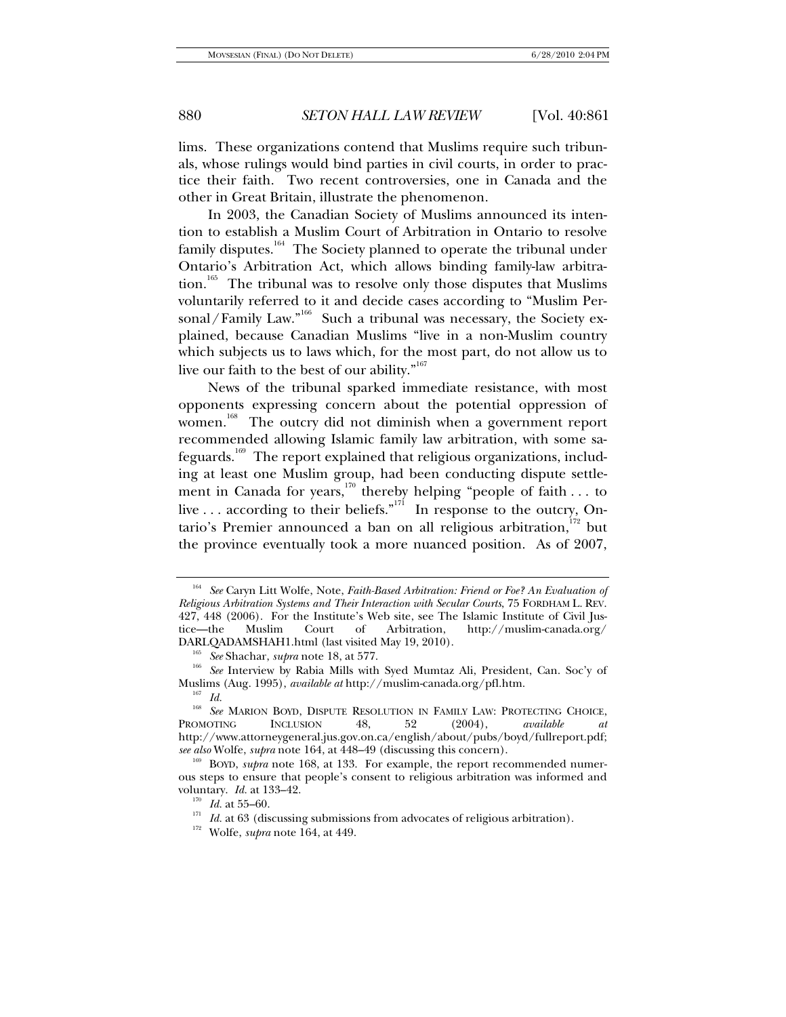lims. These organizations contend that Muslims require such tribunals, whose rulings would bind parties in civil courts, in order to practice their faith. Two recent controversies, one in Canada and the other in Great Britain, illustrate the phenomenon.

In 2003, the Canadian Society of Muslims announced its intention to establish a Muslim Court of Arbitration in Ontario to resolve family disputes.<sup>164</sup> The Society planned to operate the tribunal under Ontario's Arbitration Act, which allows binding family-law arbitration.<sup>165</sup> The tribunal was to resolve only those disputes that Muslims voluntarily referred to it and decide cases according to "Muslim Personal/Family Law."<sup>166</sup> Such a tribunal was necessary, the Society explained, because Canadian Muslims "live in a non-Muslim country which subjects us to laws which, for the most part, do not allow us to live our faith to the best of our ability."<sup>167</sup>

News of the tribunal sparked immediate resistance, with most opponents expressing concern about the potential oppression of women.<sup>168</sup> The outcry did not diminish when a government report recommended allowing Islamic family law arbitration, with some safeguards.<sup>169</sup> The report explained that religious organizations, including at least one Muslim group, had been conducting dispute settlement in Canada for years,  $170$  thereby helping "people of faith . . . to live ... according to their beliefs."<sup>171</sup> In response to the outcry, Ontario's Premier announced a ban on all religious arbitration, $172$  but the province eventually took a more nuanced position. As of 2007,

<sup>164</sup> *See* Caryn Litt Wolfe, Note, *Faith-Based Arbitration: Friend or Foe? An Evaluation of Religious Arbitration Systems and Their Interaction with Secular Courts*, 75 FORDHAM L. REV. 427, 448 (2006). For the Institute's Web site, see The Islamic Institute of Civil Jus-<br>tice—the Muslim Court of Arbitration, http://muslim-canada.org/ tice—the Muslim Court of Arbitration, http://muslim-canada.org/

DARLQADAMSHAH1.html (last visited May 19, 2010).<br><sup>165</sup> *See* Shachar, *supra* note 18, at 577.<br><sup>166</sup> *See* Interview by Rabia Mills with Syed Mumtaz Ali, President, Can. Soc'y of<br>Muslims (Aug. 1995), *available at* http://

<sup>&</sup>lt;sup>167</sup> Id. 168 See MARION BOYD, DISPUTE RESOLUTION IN FAMILY LAW: PROTECTING CHOICE, PROMOTING INCLUSION 48, 52 (2004), *available* http://www.attorneygeneral.jus.gov.on.ca/english/about/pubs/boyd/fullreport.pdf; *see also* Wolfe, *supra* note 164, at 448–49 (discussing this concern). 169 BOYD, *supra* note 168, at 133. For example, the report recommended numer-

ous steps to ensure that people's consent to religious arbitration was informed and voluntary. *Id.* at 133–42.

<sup>&</sup>lt;sup>170</sup> *Id.* at 55–60. *Id.* at 63 (discussing submissions from advocates of religious arbitration). <sup>172</sup> Wolfe, *supra* note 164, at 449.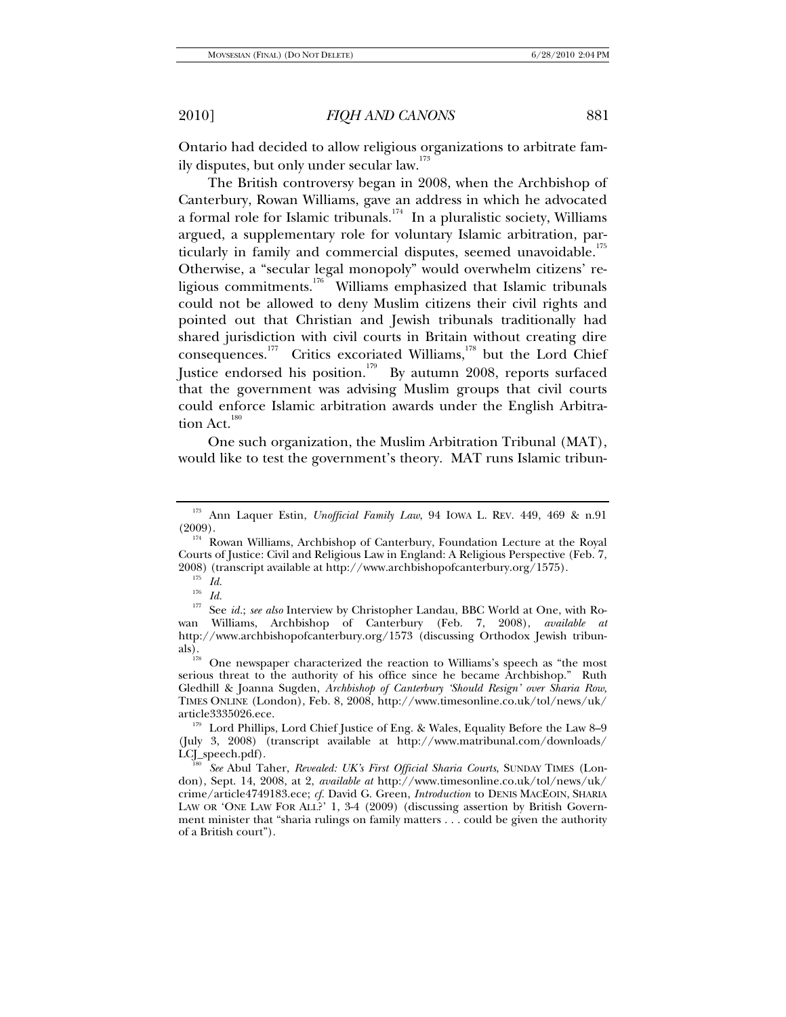Ontario had decided to allow religious organizations to arbitrate family disputes, but only under secular law.<sup>173</sup>

The British controversy began in 2008, when the Archbishop of Canterbury, Rowan Williams, gave an address in which he advocated a formal role for Islamic tribunals.<sup>174</sup> In a pluralistic society, Williams argued, a supplementary role for voluntary Islamic arbitration, particularly in family and commercial disputes, seemed unavoidable.<sup>175</sup> Otherwise, a "secular legal monopoly" would overwhelm citizens' religious commitments.<sup>176</sup> Williams emphasized that Islamic tribunals could not be allowed to deny Muslim citizens their civil rights and pointed out that Christian and Jewish tribunals traditionally had shared jurisdiction with civil courts in Britain without creating dire consequences.<sup>177</sup> Critics excoriated Williams,<sup>178</sup> but the Lord Chief Justice endorsed his position.<sup>179</sup> By autumn 2008, reports surfaced that the government was advising Muslim groups that civil courts could enforce Islamic arbitration awards under the English Arbitration Act.<sup>180</sup>

One such organization, the Muslim Arbitration Tribunal (MAT), would like to test the government's theory. MAT runs Islamic tribun-

<sup>&</sup>lt;sup>173</sup> Ann Laquer Estin, *Unofficial Family Law*, 94 IOWA L. REV. 449, 469 & n.91 (2009).

<sup>&</sup>lt;sup>174</sup> Rowan Williams, Archbishop of Canterbury, Foundation Lecture at the Royal Courts of Justice: Civil and Religious Law in England: A Religious Perspective (Feb. 7, 2008) (transcript available at http://www.archbishopofcanterbury.org/1575).<br><sup>175</sup> *Id.* 176 *Id.* 177 See id: see also Interview by Christopher Landau, BBC World at One v

See *id.*; *see also* Interview by Christopher Landau, BBC World at One, with Rowan Williams, Archbishop of Canterbury (Feb. 7, 2008), *available at* http://www.archbishopofcanterbury.org/1573 (discussing Orthodox Jewish tribunals). 178 One newspaper characterized the reaction to Williams's speech as "the most

serious threat to the authority of his office since he became Archbishop." Ruth Gledhill & Joanna Sugden, *Archbishop of Canterbury 'Should Resign' over Sharia Row*, TIMES ONLINE (London), Feb. 8, 2008, http://www.timesonline.co.uk/tol/news/uk/ article3335026.ece.<br><sup>179</sup> Lord Phillips, Lord Chief Justice of Eng. & Wales, Equality Before the Law 8–9

<sup>(</sup>July 3, 2008) (transcript available at http://www.matribunal.com/downloads/ LCJ\_speech.pdf). 180 *See* Abul Taher, *Revealed: UK's First Official Sharia Courts*, SUNDAY TIMES (Lon-

don), Sept. 14, 2008, at 2, *available at* http://www.timesonline.co.uk/tol/news/uk/ crime/article4749183.ece; *cf.* David G. Green, *Introduction* to DENIS MACEOIN, SHARIA LAW OR 'ONE LAW FOR ALL?' 1, 3-4 (2009) (discussing assertion by British Government minister that "sharia rulings on family matters . . . could be given the authority of a British court").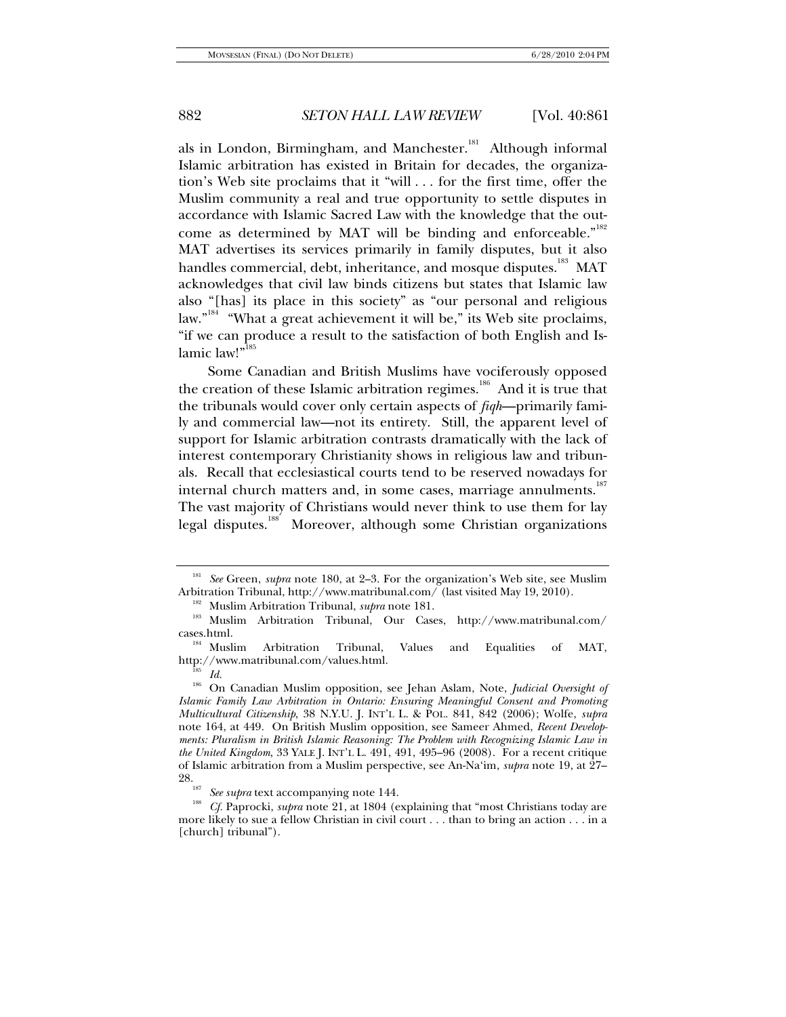als in London, Birmingham, and Manchester.<sup>181</sup> Although informal Islamic arbitration has existed in Britain for decades, the organization's Web site proclaims that it "will . . . for the first time, offer the Muslim community a real and true opportunity to settle disputes in accordance with Islamic Sacred Law with the knowledge that the outcome as determined by MAT will be binding and enforceable."<sup>182</sup> MAT advertises its services primarily in family disputes, but it also handles commercial, debt, inheritance, and mosque disputes.<sup>183</sup> MAT acknowledges that civil law binds citizens but states that Islamic law also "[has] its place in this society" as "our personal and religious law."<sup>184</sup> "What a great achievement it will be," its Web site proclaims, "if we can produce a result to the satisfaction of both English and Islamic law!"<sup>185</sup>

Some Canadian and British Muslims have vociferously opposed the creation of these Islamic arbitration regimes.<sup>186</sup> And it is true that the tribunals would cover only certain aspects of *fiqh*—primarily family and commercial law—not its entirety. Still, the apparent level of support for Islamic arbitration contrasts dramatically with the lack of interest contemporary Christianity shows in religious law and tribunals. Recall that ecclesiastical courts tend to be reserved nowadays for internal church matters and, in some cases, marriage annulments.<sup>187</sup> The vast majority of Christians would never think to use them for lay legal disputes.<sup>188</sup> Moreover, although some Christian organizations

<sup>181</sup> *See* Green, *supra* note 180, at 2–3. For the organization's Web site, see Muslim

Arbitration Tribunal, http://www.matribunal.com/ (last visited May 19, 2010).<br><sup>182</sup> Muslim Arbitration Tribunal, *supra* note 181.<br><sup>183</sup> Muslim Arbitration Tribunal, Our Cases, http://www.matribunal.com/<br>cases.html.

cases.html. 184 Muslim Arbitration Tribunal, Values and Equalities of MAT, http://www.matribunal.com/values.html.<br><sup>185</sup> *Id.*<br><sup>186</sup> On Canadian Muslim opposition

<sup>186</sup> On Canadian Muslim opposition, see Jehan Aslam, Note, *Judicial Oversight of Islamic Family Law Arbitration in Ontario: Ensuring Meaningful Consent and Promoting Multicultural Citizenship*, 38 N.Y.U. J. INT'L L. & POL. 841, 842 (2006); Wolfe, *supra* note 164, at 449. On British Muslim opposition, see Sameer Ahmed, *Recent Developments: Pluralism in British Islamic Reasoning: The Problem with Recognizing Islamic Law in the United Kingdom*, 33 YALE J. INT'L L. 491, 491, 495–96 (2008). For a recent critique of Islamic arbitration from a Muslim perspective, see An-Na'im, *supra* note 19, at 27–

<sup>28. 187</sup> *See supra* text accompanying note 144. 188 *Cf.* Paprocki, *supra* note 21, at 1804 (explaining that "most Christians today are more likely to sue a fellow Christian in civil court . . . than to bring an action . . . in a [church] tribunal").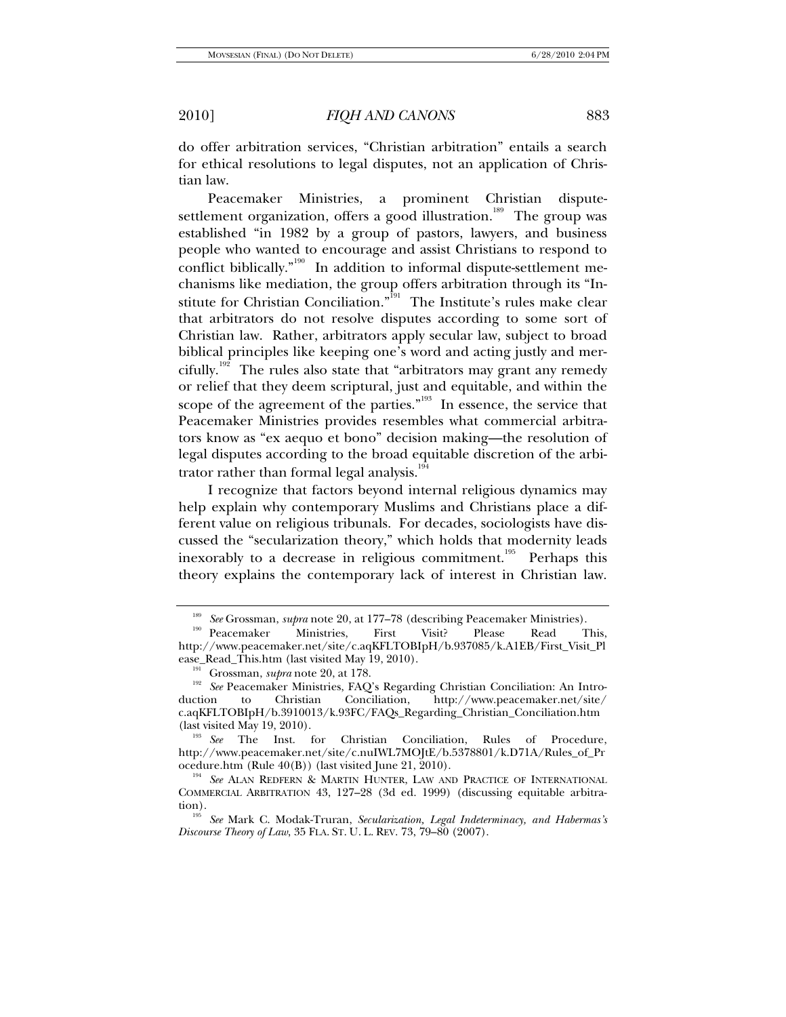do offer arbitration services, "Christian arbitration" entails a search for ethical resolutions to legal disputes, not an application of Christian law.

Peacemaker Ministries, a prominent Christian disputesettlement organization, offers a good illustration.<sup>189</sup> The group was established "in 1982 by a group of pastors, lawyers, and business people who wanted to encourage and assist Christians to respond to conflict biblically."<sup>190</sup> In addition to informal dispute-settlement mechanisms like mediation, the group offers arbitration through its "Institute for Christian Conciliation."<sup>51</sup> The Institute's rules make clear that arbitrators do not resolve disputes according to some sort of Christian law. Rather, arbitrators apply secular law, subject to broad biblical principles like keeping one's word and acting justly and mercifully.<sup>192</sup> The rules also state that "arbitrators may grant any remedy or relief that they deem scriptural, just and equitable, and within the scope of the agreement of the parties."<sup>193</sup> In essence, the service that Peacemaker Ministries provides resembles what commercial arbitrators know as "ex aequo et bono" decision making—the resolution of legal disputes according to the broad equitable discretion of the arbitrator rather than formal legal analysis.<sup>1</sup>

I recognize that factors beyond internal religious dynamics may help explain why contemporary Muslims and Christians place a different value on religious tribunals. For decades, sociologists have discussed the "secularization theory," which holds that modernity leads inexorably to a decrease in religious commitment.<sup>195</sup> Perhaps this theory explains the contemporary lack of interest in Christian law.

<sup>&</sup>lt;sup>189</sup> See Grossman, *supra* note 20, at 177–78 (describing Peacemaker Ministries).<br><sup>190</sup> Peacemaker Ministries, First Visit? Please Read This, http://www.peacemaker.net/site/c.aqKFLTOBIpH/b.937085/k.A1EB/First\_Visit\_Pl

<sup>&</sup>lt;sup>191</sup> Grossman, *supra* note 20, at 178.<br><sup>192</sup> See Peacemaker Ministries, FAQ's Regarding Christian Conciliation: An Introduction to Christian Conciliation, http://www.peacemaker.net/site/ c.aqKFLTOBIpH/b.3910013/k.93FC/FAQs\_Regarding\_Christian\_Conciliation.htm

<sup>&</sup>lt;sup>193</sup> See The Inst. for Christian Conciliation, Rules of Procedure, http://www.peacemaker.net/site/c.nuIWL7MOJtE/b.5378801/k.D71A/Rules\_of\_Pr ocedure.htm (Rule 40(B)) (last visited June 21, 2010). 194 *See* ALAN REDFERN & MARTIN HUNTER, LAW AND PRACTICE OF INTERNATIONAL

COMMERCIAL ARBITRATION 43, 127–28 (3d ed. 1999) (discussing equitable arbitra-

tion). 195 *See* Mark C. Modak-Truran, *Secularization, Legal Indeterminacy, and Habermas's Discourse Theory of Law*, 35 FLA. ST. U. L. REV. 73, 79–80 (2007).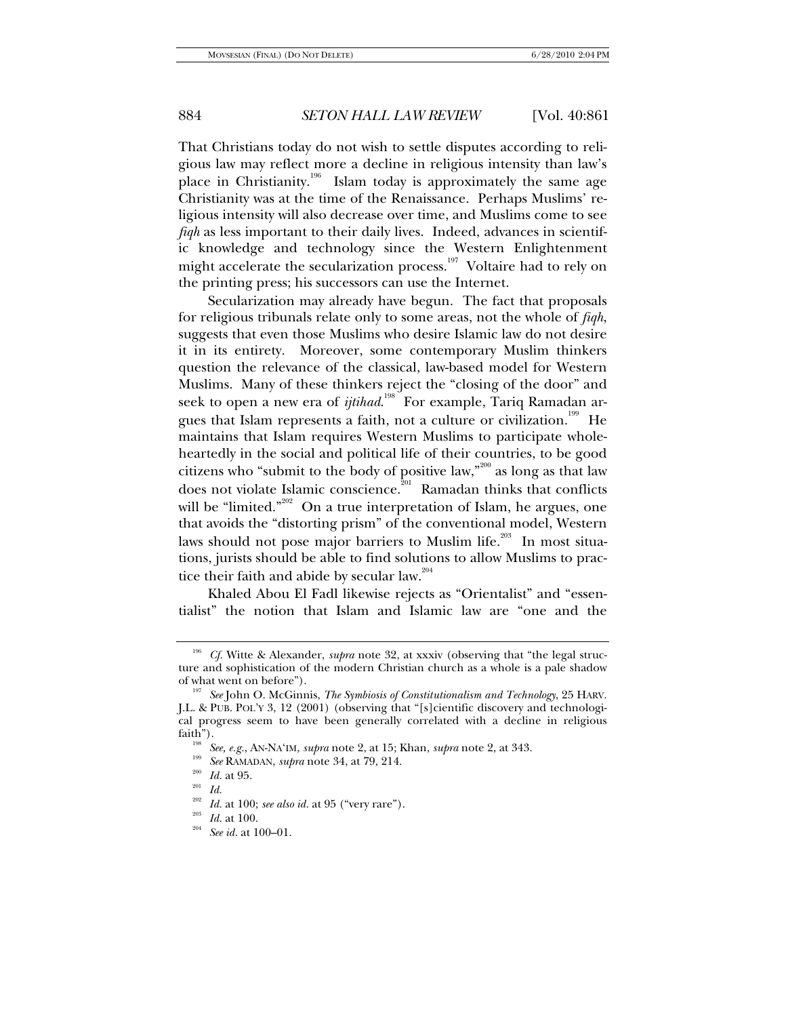That Christians today do not wish to settle disputes according to religious law may reflect more a decline in religious intensity than law's place in Christianity.<sup>196</sup> Islam today is approximately the same age Christianity was at the time of the Renaissance. Perhaps Muslims' religious intensity will also decrease over time, and Muslims come to see *fiqh* as less important to their daily lives. Indeed, advances in scientific knowledge and technology since the Western Enlightenment might accelerate the secularization process.<sup>197</sup> Voltaire had to rely on the printing press; his successors can use the Internet.

Secularization may already have begun. The fact that proposals for religious tribunals relate only to some areas, not the whole of *fiqh*, suggests that even those Muslims who desire Islamic law do not desire it in its entirety. Moreover, some contemporary Muslim thinkers question the relevance of the classical, law-based model for Western Muslims. Many of these thinkers reject the "closing of the door" and seek to open a new era of *ijtihad*.<sup>198</sup> For example, Tariq Ramadan argues that Islam represents a faith, not a culture or civilization.<sup>199</sup> He maintains that Islam requires Western Muslims to participate wholeheartedly in the social and political life of their countries, to be good citizens who "submit to the body of positive law,"200 as long as that law does not violate Islamic conscience.<sup>201</sup> Ramadan thinks that conflicts will be "limited."<sup>202</sup> On a true interpretation of Islam, he argues, one that avoids the "distorting prism" of the conventional model, Western laws should not pose major barriers to Muslim life.<sup>203</sup> In most situations, jurists should be able to find solutions to allow Muslims to practice their faith and abide by secular law. $204$ 

Khaled Abou El Fadl likewise rejects as "Orientalist" and "essentialist" the notion that Islam and Islamic law are "one and the

<sup>196</sup> *Cf.* Witte & Alexander, *supra* note 32, at xxxiv (observing that "the legal structure and sophistication of the modern Christian church as a whole is a pale shadow of what went on before"). 197 *See* John O. McGinnis, *The Symbiosis of Constitutionalism and Technology*, 25 HARV.

J.L. & PUB. POL'Y 3, 12 (2001) (observing that "[s]cientific discovery and technological progress seem to have been generally correlated with a decline in religious

f<sup>198</sup> See, e.g., AN-NA'IM, *supra* note 2, at 15; Khan, *supra* note 2, at 343.<br><sup>199</sup> See RAMADAN, *supra* note 34, at 79, 214.<br><sup>200</sup> Id. at 95.<br><sup>202</sup> Id. at 100<sup> *an shariff at* 0.6 ("year man")</sup>

<sup>202</sup> *Id.* at 100; *see also id.* at 95 ("very rare"). 203 *Id.* at 100. 204 *See id.* at 100–01.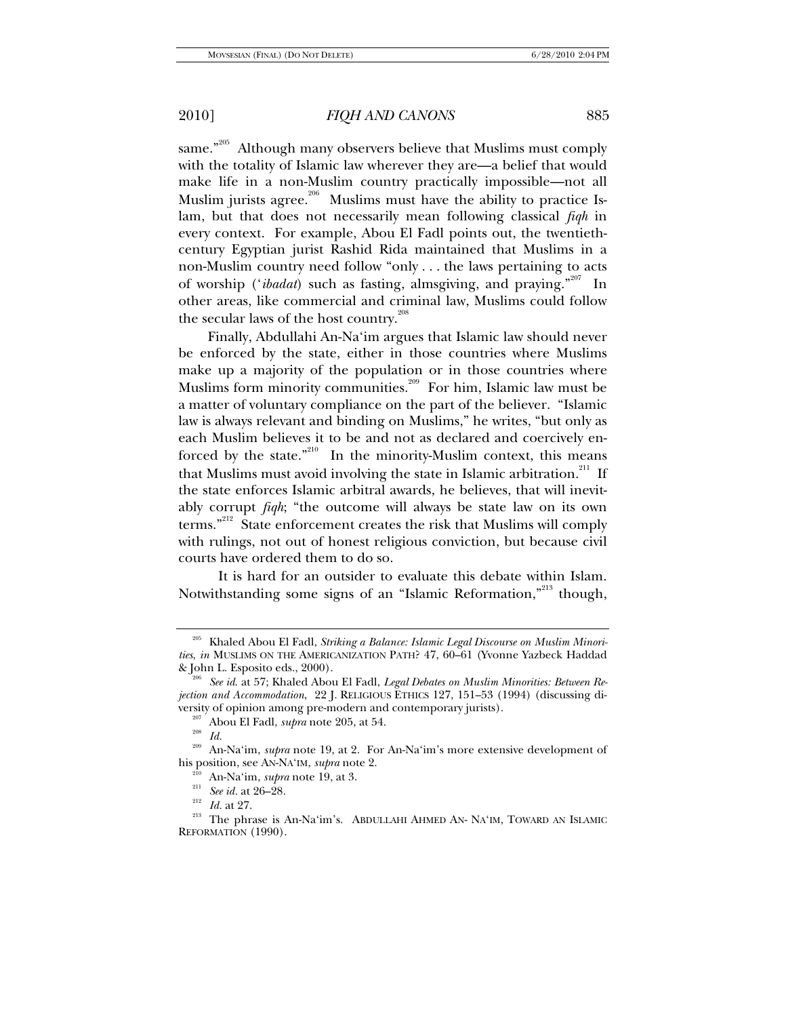same."<sup>205</sup> Although many observers believe that Muslims must comply with the totality of Islamic law wherever they are—a belief that would make life in a non-Muslim country practically impossible—not all Muslim jurists agree.<sup>206</sup> Muslims must have the ability to practice Islam, but that does not necessarily mean following classical *fiqh* in every context. For example, Abou El Fadl points out, the twentiethcentury Egyptian jurist Rashid Rida maintained that Muslims in a non-Muslim country need follow "only . . . the laws pertaining to acts of worship ('*ibadat*) such as fasting, almsgiving, and praying."207 In other areas, like commercial and criminal law, Muslims could follow the secular laws of the host country.<sup>208</sup>

Finally, Abdullahi An-Na'im argues that Islamic law should never be enforced by the state, either in those countries where Muslims make up a majority of the population or in those countries where Muslims form minority communities.<sup>209</sup> For him, Islamic law must be a matter of voluntary compliance on the part of the believer. "Islamic law is always relevant and binding on Muslims," he writes, "but only as each Muslim believes it to be and not as declared and coercively enforced by the state."<sup>210</sup> In the minority-Muslim context, this means that Muslims must avoid involving the state in Islamic arbitration.<sup>211</sup> If the state enforces Islamic arbitral awards, he believes, that will inevitably corrupt *fiqh*; "the outcome will always be state law on its own terms."212 State enforcement creates the risk that Muslims will comply with rulings, not out of honest religious conviction, but because civil courts have ordered them to do so.

 It is hard for an outsider to evaluate this debate within Islam. Notwithstanding some signs of an "Islamic Reformation,"<sup>213</sup> though,

<sup>205</sup> Khaled Abou El Fadl, *Striking a Balance: Islamic Legal Discourse on Muslim Minorities*, *in* MUSLIMS ON THE AMERICANIZATION PATH? 47, 60–61 (Yvonne Yazbeck Haddad & John L. Esposito eds., 2000). 206 *See id*. at 57; Khaled Abou El Fadl, *Legal Debates on Muslim Minorities: Between Re-*

*jection and Accommodation*, 22 J. RELIGIOUS ETHICS 127, 151–53 (1994) (discussing di-

versity of opinion among pre-modern and contemporary jurists).<br><sup>207</sup> Abou El Fadl, *supra* note 205, at 54.<br><sup>208</sup> *Id.* <sup>209</sup> An-Na'im, *supra* note 19, at 2. For An-Na'im's more extensive development of<br>his position, see

<sup>&</sup>lt;sup>210</sup> An-Na<sup>4</sup>im, *supra* note 19, at 3.<br><sup>211</sup> *See id.* at 26–28.<br><sup>212</sup> *Id.* at 27. The phrase is An-Na<sup>4</sup>im's. ABDULLAHI AHMED AN- NA<sup>4</sup>IM, TOWARD AN ISLAMIC REFORMATION (1990).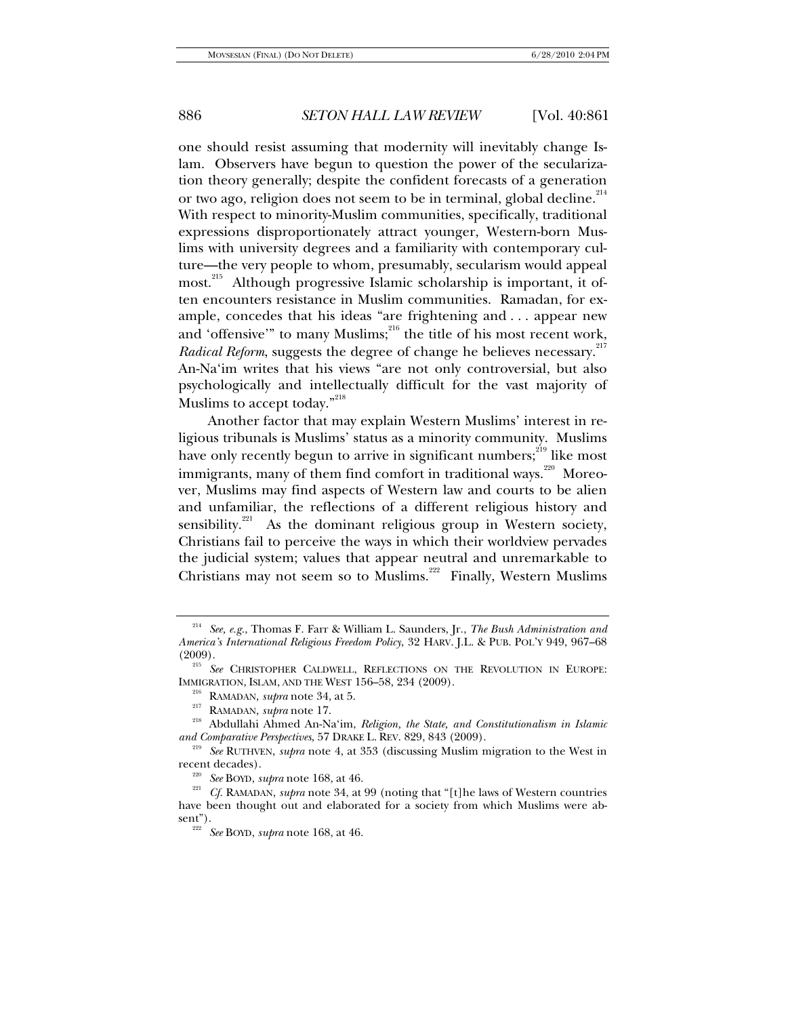one should resist assuming that modernity will inevitably change Islam. Observers have begun to question the power of the secularization theory generally; despite the confident forecasts of a generation or two ago, religion does not seem to be in terminal, global decline.<sup>214</sup> With respect to minority-Muslim communities, specifically, traditional expressions disproportionately attract younger, Western-born Muslims with university degrees and a familiarity with contemporary culture—the very people to whom, presumably, secularism would appeal most.<sup>215</sup> Although progressive Islamic scholarship is important, it often encounters resistance in Muslim communities. Ramadan, for example, concedes that his ideas "are frightening and . . . appear new and 'offensive'" to many Muslims;<sup>216</sup> the title of his most recent work, *Radical Reform*, suggests the degree of change he believes necessary.<sup>217</sup> An-Na'im writes that his views "are not only controversial, but also psychologically and intellectually difficult for the vast majority of Muslims to accept today."<sup>218</sup>

Another factor that may explain Western Muslims' interest in religious tribunals is Muslims' status as a minority community. Muslims have only recently begun to arrive in significant numbers;<sup>219</sup> like most immigrants, many of them find comfort in traditional ways. $^{220}$  Moreover, Muslims may find aspects of Western law and courts to be alien and unfamiliar, the reflections of a different religious history and sensibility.<sup>221</sup> As the dominant religious group in Western society, Christians fail to perceive the ways in which their worldview pervades the judicial system; values that appear neutral and unremarkable to Christians may not seem so to Muslims.<sup>222</sup> Finally, Western Muslims

<sup>214</sup> *See, e.g.*, Thomas F. Farr & William L. Saunders, Jr., *The Bush Administration and America's International Religious Freedom Policy*, 32 HARV. J.L. & PUB. POL'Y 949, 967–68

 $^{215}$  See CHRISTOPHER CALDWELL, REFLECTIONS ON THE REVOLUTION IN EUROPE: IMMIGRATION, ISLAM, AND THE WEST  $156-58, 234\ (2009)$ .

<sup>&</sup>lt;sup>216</sup> RAMADAN, *supra* note 34, at 5.<br><sup>217</sup> RAMADAN, *supra* note 17.<br><sup>218</sup> Abdullahi Ahmed An-Na'im, *Religion, the State, and Constitutionalism in Islamic and Comparative Perspectives, 57 DRAKE L. REV. 829, 843 (2009).* 

<sup>&</sup>lt;sup>219</sup> See RUTHVEN, *supra* note 4, at 353 (discussing Muslim migration to the West in recent decades).

<sup>&</sup>lt;sup>220</sup> See BOYD, *supra* note 168, at 46. 221 Cf. RAMADAN, *supra* note 34, at 99 (noting that "[t]he laws of Western countries have been thought out and elaborated for a society from which Muslims were absent").

<sup>&</sup>lt;sup>222</sup> See BOYD, *supra* note 168, at 46.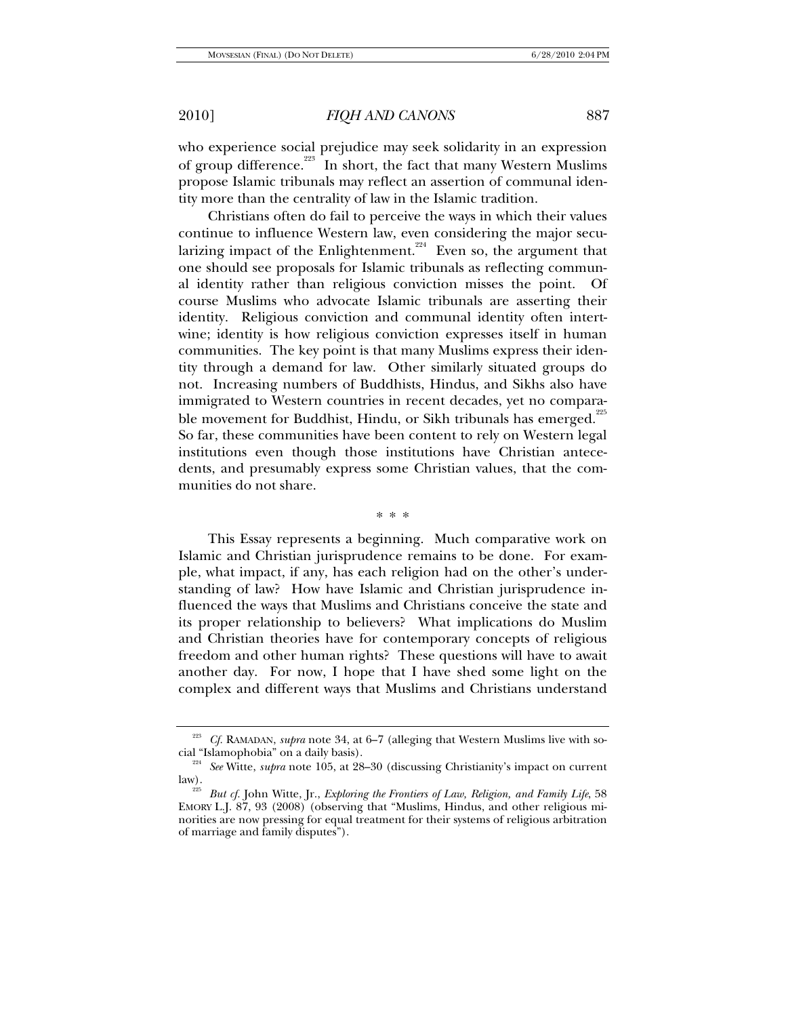who experience social prejudice may seek solidarity in an expression of group difference.<sup>223</sup> In short, the fact that many Western Muslims propose Islamic tribunals may reflect an assertion of communal identity more than the centrality of law in the Islamic tradition.

Christians often do fail to perceive the ways in which their values continue to influence Western law, even considering the major secularizing impact of the Enlightenment.<sup>224</sup> Even so, the argument that one should see proposals for Islamic tribunals as reflecting communal identity rather than religious conviction misses the point. Of course Muslims who advocate Islamic tribunals are asserting their identity. Religious conviction and communal identity often intertwine; identity is how religious conviction expresses itself in human communities. The key point is that many Muslims express their identity through a demand for law. Other similarly situated groups do not. Increasing numbers of Buddhists, Hindus, and Sikhs also have immigrated to Western countries in recent decades, yet no comparable movement for Buddhist, Hindu, or Sikh tribunals has emerged.<sup>225</sup> So far, these communities have been content to rely on Western legal institutions even though those institutions have Christian antecedents, and presumably express some Christian values, that the communities do not share.

\* \* \*

This Essay represents a beginning. Much comparative work on Islamic and Christian jurisprudence remains to be done. For example, what impact, if any, has each religion had on the other's understanding of law? How have Islamic and Christian jurisprudence influenced the ways that Muslims and Christians conceive the state and its proper relationship to believers? What implications do Muslim and Christian theories have for contemporary concepts of religious freedom and other human rights? These questions will have to await another day. For now, I hope that I have shed some light on the complex and different ways that Muslims and Christians understand

<sup>223</sup> *Cf.* RAMADAN, *supra* note 34, at 6–7 (alleging that Western Muslims live with so-

cial "Islamophobia" on a daily basis). 224 *See* Witte, *supra* note 105, at 28–30 (discussing Christianity's impact on current law). 225 *But cf.* John Witte, Jr., *Exploring the Frontiers of Law, Religion, and Family Life*, 58

EMORY L.J. 87, 93 (2008) (observing that "Muslims, Hindus, and other religious minorities are now pressing for equal treatment for their systems of religious arbitration of marriage and family disputes").